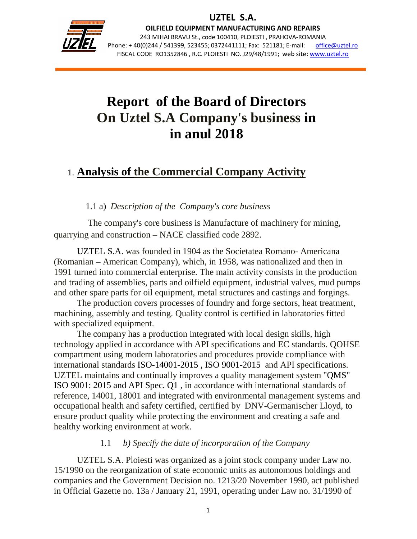

j

OILFIELD EQUIPMENT MANUFACTURING AND REPAIRS 243 MIHAI BRAVU St., code 100410, PLOIESTI , PRAHOVA-ROMANIA Phone: +40(0)244 / 541399, 523455; 0372441111; Fax: 521181; E-mail: office@uztel.ro FISCAL CODE RO1352846 , R.C. PLOIESTI NO. J29/48/1991; web site: www.uztel.ro

# **Report of the Board of Directors On Uztel S.A Company's business in in anul 2018**

# 1. **Analysis of the Commercial Company Activity**

#### 1.1 a) *Description of the Company's core business*

 The company's core business is Manufacture of machinery for mining, quarrying and construction – NACE classified code 2892.

 UZTEL S.A. was founded in 1904 as the Societatea Romano- Americana (Romanian – American Company), which, in 1958, was nationalized and then in 1991 turned into commercial enterprise. The main activity consists in the production and trading of assemblies, parts and oilfield equipment, industrial valves, mud pumps and other spare parts for oil equipment, metal structures and castings and forgings.

 The production covers processes of foundry and forge sectors, heat treatment, machining, assembly and testing. Quality control is certified in laboratories fitted with specialized equipment.

The company has a production integrated with local design skills, high technology applied in accordance with API specifications and EC standards. QOHSE compartment using modern laboratories and procedures provide compliance with international standards ISO-14001-2015 , ISO 9001-2015 and API specifications. UZTEL maintains and continually improves a quality management system "QMS" ISO 9001: 2015 and API Spec. Q1 , in accordance with international standards of reference, 14001, 18001 and integrated with environmental management systems and occupational health and safety certified, certified by DNV-Germanischer Lloyd, to ensure product quality while protecting the environment and creating a safe and healthy working environment at work.

#### 1.1 *b) Specify the date of incorporation of the Company*

UZTEL S.A. Ploiesti was organized as a joint stock company under Law no. 15/1990 on the reorganization of state economic units as autonomous holdings and companies and the Government Decision no. 1213/20 November 1990, act published in Official Gazette no. 13a / January 21, 1991, operating under Law no. 31/1990 of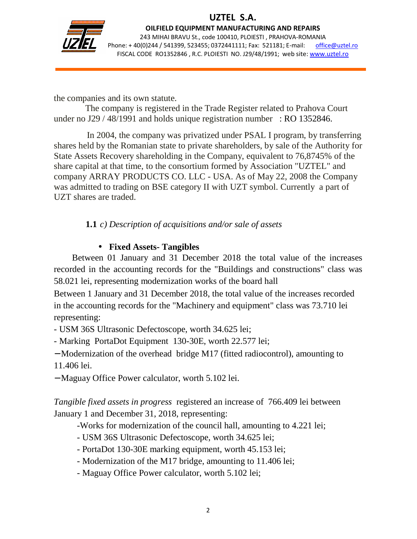

j

OILFIELD EQUIPMENT MANUFACTURING AND REPAIRS 243 MIHAI BRAVU St., code 100410, PLOIESTI , PRAHOVA-ROMANIA Phone: +40(0)244 / 541399, 523455; 0372441111; Fax: 521181; E-mail: office@uztel.ro FISCAL CODE RO1352846 , R.C. PLOIESTI NO. J29/48/1991; web site: www.uztel.ro

the companies and its own statute.

 The company is registered in the Trade Register related to Prahova Court under no J29 / 48/1991 and holds unique registration number : RO 1352846.

 In 2004, the company was privatized under PSAL I program, by transferring shares held by the Romanian state to private shareholders, by sale of the Authority for State Assets Recovery shareholding in the Company, equivalent to 76,8745% of the share capital at that time, to the consortium formed by Association "UZTEL" and company ARRAY PRODUCTS CO. LLC - USA. As of May 22, 2008 the Company was admitted to trading on BSE category II with UZT symbol. Currently a part of UZT shares are traded.

**1.1** *c) Description of acquisitions and/or sale of assets* 

## • **Fixed Assets- Tangibles**

Between 01 January and 31 December 2018 the total value of the increases recorded in the accounting records for the "Buildings and constructions" class was 58.021 lei, representing modernization works of the board hall

Between 1 January and 31 December 2018, the total value of the increases recorded in the accounting records for the "Machinery and equipment" class was 73.710 lei representing:

- USM 36S Ultrasonic Defectoscope, worth 34.625 lei;

- Marking PortaDot Equipment 130-30E, worth 22.577 lei;

− Modernization of the overhead bridge M17 (fitted radiocontrol), amounting to 11.406 lei.

− Maguay Office Power calculator, worth 5.102 lei.

*Tangible fixed assets in progress* registered an increase of 766.409 lei between January 1 and December 31, 2018, representing:

-Works for modernization of the council hall, amounting to 4.221 lei;

- USM 36S Ultrasonic Defectoscope, worth 34.625 lei;
- PortaDot 130-30E marking equipment, worth 45.153 lei;
- Modernization of the M17 bridge, amounting to 11.406 lei;
- Maguay Office Power calculator, worth 5.102 lei;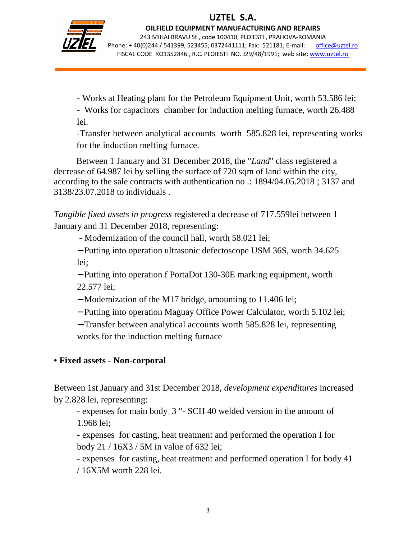

j

OILFIELD EQUIPMENT MANUFACTURING AND REPAIRS 243 MIHAI BRAVU St., code 100410, PLOIESTI , PRAHOVA-ROMANIA Phone: +40(0)244 / 541399, 523455; 0372441111; Fax: 521181; E-mail: office@uztel.ro FISCAL CODE RO1352846 , R.C. PLOIESTI NO. J29/48/1991; web site: www.uztel.ro

- Works at Heating plant for the Petroleum Equipment Unit, worth 53.586 lei;

 - Works for capacitors chamber for induction melting furnace, worth 26.488 lei.

-Transfer between analytical accounts worth 585.828 lei, representing works for the induction melting furnace.

 Between 1 January and 31 December 2018, the "*Land*" class registered a decrease of 64.987 lei by selling the surface of 720 sqm of land within the city, according to the sale contracts with authentication no .: 1894/04.05.2018 ; 3137 and 3138/23.07.2018 to individuals .

*Tangible fixed assets in progress* registered a decrease of 717.559lei between 1 January and 31 December 2018, representing:

- Modernization of the council hall, worth 58.021 lei;

− Putting into operation ultrasonic defectoscope USM 36S, worth 34.625 lei;

− Putting into operation f PortaDot 130-30E marking equipment, worth 22.577 lei;

− Modernization of the M17 bridge, amounting to 11.406 lei;

− Putting into operation Maguay Office Power Calculator, worth 5.102 lei;

− Transfer between analytical accounts worth 585.828 lei, representing works for the induction melting furnace

## **• Fixed assets - Non-corporal**

Between 1st January and 31st December 2018, *development expenditures* increased by 2.828 lei, representing:

 - expenses for main body 3 "- SCH 40 welded version in the amount of 1.968 lei;

 - expenses for casting, heat treatment and performed the operation I for body 21 / 16X3 / 5M in value of 632 lei;

 - expenses for casting, heat treatment and performed operation I for body 41 / 16X5M worth 228 lei.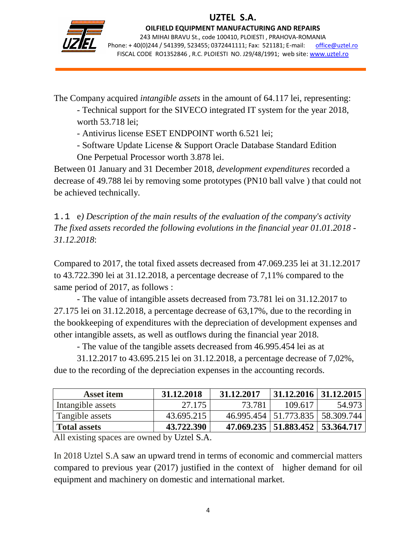

j

OILFIELD EQUIPMENT MANUFACTURING AND REPAIRS 243 MIHAI BRAVU St., code 100410, PLOIESTI , PRAHOVA-ROMANIA Phone: +40(0)244 / 541399, 523455; 0372441111; Fax: 521181; E-mail: office@uztel.ro FISCAL CODE RO1352846 , R.C. PLOIESTI NO. J29/48/1991; web site: www.uztel.ro

The Company acquired *intangible assets* in the amount of 64.117 lei, representing:

 - Technical support for the SIVECO integrated IT system for the year 2018, worth 53.718 lei;

- Antivirus license ESET ENDPOINT worth 6.521 lei;

- Software Update License & Support Oracle Database Standard Edition

One Perpetual Processor worth 3.878 lei.

Between 01 January and 31 December 2018, *development expenditures* recorded a decrease of 49.788 lei by removing some prototypes (PN10 ball valve ) that could not be achieved technically.

1.1 e*) Description of the main results of the evaluation of the company's activity The fixed assets recorded the following evolutions in the financial year 01.01.2018 - 31.12.2018*:

Compared to 2017, the total fixed assets decreased from 47.069.235 lei at 31.12.2017 to 43.722.390 lei at 31.12.2018, a percentage decrease of 7,11% compared to the same period of 2017, as follows :

 - The value of intangible assets decreased from 73.781 lei on 31.12.2017 to 27.175 lei on 31.12.2018, a percentage decrease of 63,17%, due to the recording in the bookkeeping of expenditures with the depreciation of development expenses and other intangible assets, as well as outflows during the financial year 2018.

- The value of the tangible assets decreased from 46.995.454 lei as at

 31.12.2017 to 43.695.215 lei on 31.12.2018, a percentage decrease of 7,02%, due to the recording of the depreciation expenses in the accounting records.

| <b>Asset item</b>   | 31.12.2018 | 31.12.2017 | 31.12.2016   31.12.2015              |        |
|---------------------|------------|------------|--------------------------------------|--------|
| Intangible assets   | 27.175     | 73.781     | 109.617                              | 54.973 |
| Tangible assets     | 43.695.215 |            | 46.995.454   51.773.835   58.309.744 |        |
| <b>Total assets</b> | 43.722.390 |            | 47.069.235   51.883.452   53.364.717 |        |

All existing spaces are owned by Uztel S.A.

In 2018 Uztel S.A saw an upward trend in terms of economic and commercial matters compared to previous year (2017) justified in the context of higher demand for oil equipment and machinery on domestic and international market.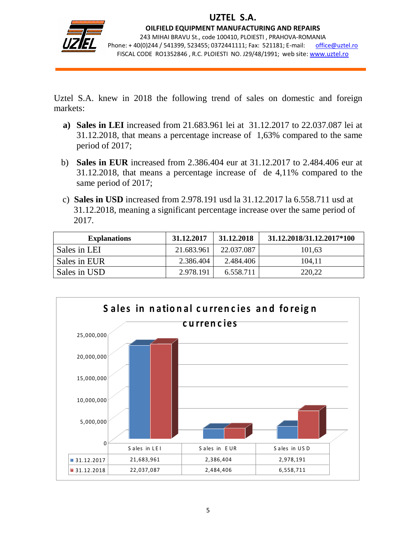

j

OILFIELD EQUIPMENT MANUFACTURING AND REPAIRS 243 MIHAI BRAVU St., code 100410, PLOIESTI , PRAHOVA-ROMANIA Phone: +40(0)244 / 541399, 523455; 0372441111; Fax: 521181; E-mail: office@uztel.ro FISCAL CODE RO1352846 , R.C. PLOIESTI NO. J29/48/1991; web site: www.uztel.ro

Uztel S.A. knew in 2018 the following trend of sales on domestic and foreign markets:

- **a) Sales in LEI** increased from 21.683.961 lei at 31.12.2017 to 22.037.087 lei at 31.12.2018, that means a percentage increase of 1,63% compared to the same period of 2017;
- b) **Sales in EUR** increased from 2.386.404 eur at 31.12.2017 to 2.484.406 eur at 31.12.2018, that means a percentage increase of de 4,11% compared to the same period of 2017;
- c) **Sales in USD** increased from 2.978.191 usd la 31.12.2017 la 6.558.711 usd at 31.12.2018, meaning a significant percentage increase over the same period of 2017.

| <b>Explanations</b> | 31.12.2017 | 31.12.2018 | 31, 12, 2018/31, 12, 2017 * 100 |
|---------------------|------------|------------|---------------------------------|
| Sales in LEI        | 21.683.961 | 22.037.087 | 101,63                          |
| Sales in EUR        | 2.386.404  | 2.484.406  | 104,11                          |
| Sales in USD        | 2.978.191  | 6.558.711  | 220,22                          |

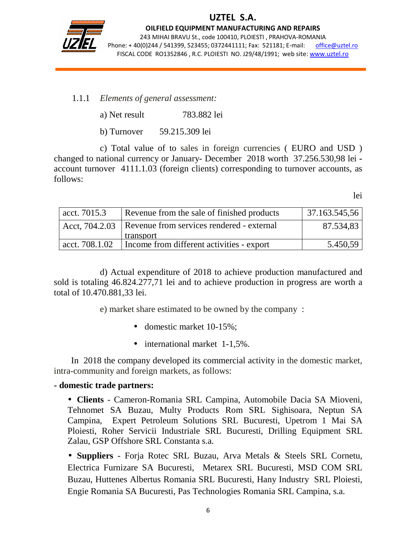

j

OILFIELD EQUIPMENT MANUFACTURING AND REPAIRS 243 MIHAI BRAVU St., code 100410, PLOIESTI , PRAHOVA-ROMANIA Phone: +40(0)244 / 541399, 523455; 0372441111; Fax: 521181; E-mail: office@uztel.ro FISCAL CODE RO1352846 , R.C. PLOIESTI NO. J29/48/1991; web site: www.uztel.ro

#### 1.1.1 *Elements of general assessment:*

b) Turnover 59.215.309 lei

c) Total value of to sales in foreign currencies ( EURO and USD ) changed to national currency or January- December 2018 worth 37.256.530,98 lei account turnover 4111.1.03 (foreign clients) corresponding to turnover accounts, as follows:

lei

| $\frac{1}{2}$ acct. 7015.3 | Revenue from the sale of finished products                 | 37.163.545,56 |
|----------------------------|------------------------------------------------------------|---------------|
|                            | Acct, 704.2.03   Revenue from services rendered - external | 87.534,83     |
|                            | transport                                                  |               |
| acct. 708.1.02             | Income from different activities - export                  | 5.450,59      |

d) Actual expenditure of 2018 to achieve production manufactured and sold is totaling 46.824.277,71 lei and to achieve production in progress are worth a total of 10.470.881,33 lei.

e) market share estimated to be owned by the company :

- domestic market 10-15%;
- international market 1-1,5%.

In 2018 the company developed its commercial activity in the domestic market, intra-community and foreign markets, as follows:

#### **- domestic trade partners:**

• **Clients** - Cameron-Romania SRL Campina, Automobile Dacia SA Mioveni, Tehnomet SA Buzau, Multy Products Rom SRL Sighisoara, Neptun SA Campina, Expert Petroleum Solutions SRL Bucuresti, Upetrom 1 Mai SA Ploiesti, Roher Servicii Industriale SRL Bucuresti, Drilling Equipment SRL Zalau, GSP Offshore SRL Constanta s.a.

• **Suppliers** - Forja Rotec SRL Buzau, Arva Metals & Steels SRL Cornetu, Electrica Furnizare SA Bucuresti, Metarex SRL Bucuresti, MSD COM SRL Buzau, Huttenes Albertus Romania SRL Bucuresti, Hany Industry SRL Ploiesti, Engie Romania SA Bucuresti, Pas Technologies Romania SRL Campina, s.a.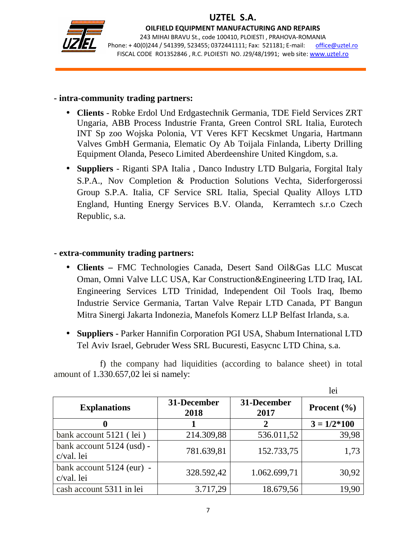

j

OILFIELD EQUIPMENT MANUFACTURING AND REPAIRS 243 MIHAI BRAVU St., code 100410, PLOIESTI , PRAHOVA-ROMANIA Phone: +40(0)244 / 541399, 523455; 0372441111; Fax: 521181; E-mail: office@uztel.ro FISCAL CODE RO1352846 , R.C. PLOIESTI NO. J29/48/1991; web site: www.uztel.ro

#### **- intra-community trading partners:**

- **Clients** Robke Erdol Und Erdgastechnik Germania, TDE Field Services ZRT Ungaria, ABB Process Industrie Franta, Green Control SRL Italia, Eurotech INT Sp zoo Wojska Polonia, VT Veres KFT Kecskmet Ungaria, Hartmann Valves GmbH Germania, Elematic Oy Ab Toijala Finlanda, Liberty Drilling Equipment Olanda, Peseco Limited Aberdeenshire United Kingdom, s.a.
- **Suppliers** Riganti SPA Italia , Danco Industry LTD Bulgaria, Forgital Italy S.P.A., Nov Completion & Production Solutions Vechta, Siderforgerossi Group S.P.A. Italia, CF Service SRL Italia, Special Quality Alloys LTD England, Hunting Energy Services B.V. Olanda, Kerramtech s.r.o Czech Republic, s.a.

#### **- extra-community trading partners:**

- **Clients –** FMC Technologies Canada, Desert Sand Oil&Gas LLC Muscat Oman, Omni Valve LLC USA, Kar Construction&Engineering LTD Iraq, IAL Engineering Services LTD Trinidad, Independent Oil Tools Iraq, Ibemo Industrie Service Germania, Tartan Valve Repair LTD Canada, PT Bangun Mitra Sinergi Jakarta Indonezia, Manefols Komerz LLP Belfast Irlanda, s.a.
- **Suppliers -** Parker Hannifin Corporation PGI USA, Shabum International LTD Tel Aviv Israel, Gebruder Wess SRL Bucuresti, Easycnc LTD China, s.a.

f) the company had liquidities (according to balance sheet) in total amount of 1.330.657,02 lei si namely:

|                                         |                     |                     | lei             |
|-----------------------------------------|---------------------|---------------------|-----------------|
| <b>Explanations</b>                     | 31-December<br>2018 | 31-December<br>2017 | Procent $(\% )$ |
| 0                                       |                     |                     | $3 = 1/2*100$   |
| bank account 5121 (lei)                 | 214.309,88          | 536.011,52          | 39,98           |
| bank account 5124 (usd) -<br>c/val. lei | 781.639,81          | 152.733,75          | 1,73            |
| bank account 5124 (eur) -<br>c/val. lei | 328.592,42          | 1.062.699,71        | 30,92           |
| cash account 5311 in lei                | 3.717,29            | 18.679,56           | 19,90           |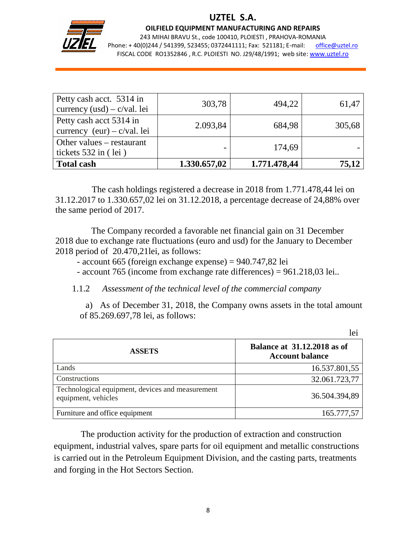

j

#### OILFIELD EQUIPMENT MANUFACTURING AND REPAIRS

243 MIHAI BRAVU St., code 100410, PLOIESTI , PRAHOVA-ROMANIA Phone: +40(0)244 / 541399, 523455; 0372441111; Fax: 521181; E-mail: office@uztel.ro FISCAL CODE RO1352846 , R.C. PLOIESTI NO. J29/48/1991; web site: www.uztel.ro

| Petty cash acct. 5314 in<br>currency $(usd) - c/val$ . lei | 303,78       | 494,22       | 61,47  |
|------------------------------------------------------------|--------------|--------------|--------|
| Petty cash acct 5314 in<br>currency $(eur) - c/val$ . lei  | 2.093,84     | 684,98       | 305,68 |
| Other values $-$ restaurant<br>tickets $532$ in (lei)      |              | 174,69       |        |
| <b>Total cash</b>                                          | 1.330.657,02 | 1.771.478,44 | 75,12  |

The cash holdings registered a decrease in 2018 from 1.771.478,44 lei on 31.12.2017 to 1.330.657,02 lei on 31.12.2018, a percentage decrease of 24,88% over the same period of 2017.

 The Company recorded a favorable net financial gain on 31 December 2018 due to exchange rate fluctuations (euro and usd) for the January to December 2018 period of 20.470,21lei, as follows:

- account 665 (foreign exchange expense) = 940.747,82 lei
- account 765 (income from exchange rate differences) = 961.218,03 lei..
- 1.1.2 *Assessment of the technical level of the commercial company*

a) As of December 31, 2018, the Company owns assets in the total amount of 85.269.697,78 lei, as follows:

|                                                                         | lei                                                          |
|-------------------------------------------------------------------------|--------------------------------------------------------------|
| <b>ASSETS</b>                                                           | <b>Balance at 31.12.2018 as of</b><br><b>Account balance</b> |
| Lands                                                                   | 16.537.801,55                                                |
| Constructions                                                           | 32.061.723,77                                                |
| Technological equipment, devices and measurement<br>equipment, vehicles | 36.504.394,89                                                |
| Furniture and office equipment                                          | 165.777,57                                                   |

 The production activity for the production of extraction and construction equipment, industrial valves, spare parts for oil equipment and metallic constructions is carried out in the Petroleum Equipment Division, and the casting parts, treatments and forging in the Hot Sectors Section.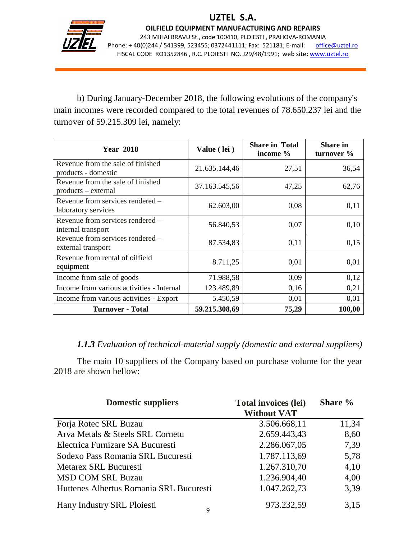

j

OILFIELD EQUIPMENT MANUFACTURING AND REPAIRS 243 MIHAI BRAVU St., code 100410, PLOIESTI , PRAHOVA-ROMANIA Phone: +40(0)244 / 541399, 523455; 0372441111; Fax: 521181; E-mail: office@uztel.ro FISCAL CODE RO1352846 , R.C. PLOIESTI NO. J29/48/1991; web site: www.uztel.ro

 b) During January-December 2018, the following evolutions of the company's main incomes were recorded compared to the total revenues of 78.650.237 lei and the turnover of 59.215.309 lei, namely:

| <b>Year 2018</b>                                           | Value (lei)   | <b>Share in Total</b><br>income $\%$ | <b>Share in</b><br>turnover % |
|------------------------------------------------------------|---------------|--------------------------------------|-------------------------------|
| Revenue from the sale of finished<br>products - domestic   | 21.635.144,46 | 27,51                                | 36,54                         |
| Revenue from the sale of finished<br>$products - external$ | 37.163.545,56 | 47,25                                | 62,76                         |
| Revenue from services rendered –<br>laboratory services    | 62.603,00     | 0,08                                 | 0,11                          |
| Revenue from services rendered -<br>internal transport     | 56.840,53     | 0,07                                 | 0,10                          |
| Revenue from services rendered -<br>external transport     | 87.534,83     | 0,11                                 | 0,15                          |
| Revenue from rental of oilfield<br>equipment               | 8.711,25      | 0,01                                 | 0,01                          |
| Income from sale of goods                                  | 71.988,58     | 0,09                                 | 0,12                          |
| Income from various activities - Internal                  | 123.489,89    | 0,16                                 | 0,21                          |
| Income from various activities - Export                    | 5.450,59      | 0,01                                 | 0,01                          |
| <b>Turnover - Total</b>                                    | 59.215.308,69 | 75,29                                | 100,00                        |

#### *1.1.3 Evaluation of technical-material supply (domestic and external suppliers)*

The main 10 suppliers of the Company based on purchase volume for the year 2018 are shown bellow:

| <b>Domestic suppliers</b>               | <b>Total invoices (lei)</b><br><b>Without VAT</b> | Share % |
|-----------------------------------------|---------------------------------------------------|---------|
| Forja Rotec SRL Buzau                   | 3.506.668,11                                      | 11,34   |
| Arva Metals & Steels SRL Cornetu        | 2.659.443,43                                      | 8,60    |
| Electrica Furnizare SA Bucuresti        | 2.286.067,05                                      | 7,39    |
| Sodexo Pass Romania SRL Bucuresti       | 1.787.113,69                                      | 5,78    |
| Metarex SRL Bucuresti                   | 1.267.310,70                                      | 4,10    |
| <b>MSD COM SRL Buzau</b>                | 1.236.904,40                                      | 4,00    |
| Huttenes Albertus Romania SRL Bucuresti | 1.047.262,73                                      | 3,39    |
| Hany Industry SRL Ploiesti<br>9         | 973.232,59                                        | 3,15    |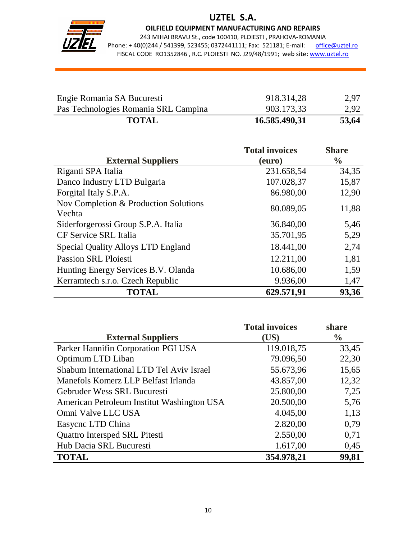

## UZTEL S.A.

OILFIELD EQUIPMENT MANUFACTURING AND REPAIRS

243 MIHAI BRAVU St., code 100410, PLOIESTI , PRAHOVA-ROMANIA Phone: +40(0)244 / 541399, 523455; 0372441111; Fax: 521181; E-mail: office@uztel.ro FISCAL CODE RO1352846 , R.C. PLOIESTI NO. J29/48/1991; web site: www.uztel.ro

| <b>TOTAL</b>                         | 16.585.490,31 | 53,64 |
|--------------------------------------|---------------|-------|
| Pas Technologies Romania SRL Campina | 903.173.33    | 2.92  |
| Engie Romania SA Bucuresti           | 918.314,28    | 2,97  |

|                                                 | <b>Total invoices</b> | <b>Share</b>  |
|-------------------------------------------------|-----------------------|---------------|
| <b>External Suppliers</b>                       | (euro)                | $\frac{6}{9}$ |
| Riganti SPA Italia                              | 231.658,54            | 34,35         |
| Danco Industry LTD Bulgaria                     | 107.028,37            | 15,87         |
| Forgital Italy S.P.A.                           | 86.980,00             | 12,90         |
| Nov Completion & Production Solutions<br>Vechta | 80.089,05             | 11,88         |
| Siderforgerossi Group S.P.A. Italia             | 36.840,00             | 5,46          |
| <b>CF Service SRL Italia</b>                    | 35.701,95             | 5,29          |
| Special Quality Alloys LTD England              | 18.441,00             | 2,74          |
| <b>Passion SRL Ploiesti</b>                     | 12.211,00             | 1,81          |
| Hunting Energy Services B.V. Olanda             | 10.686,00             | 1,59          |
| Kerramtech s.r.o. Czech Republic                | 9.936,00              | 1,47          |
| <b>TOTAL</b>                                    | 629.571,91            | 93,36         |

|                                            | <b>Total invoices</b> | share         |
|--------------------------------------------|-----------------------|---------------|
| <b>External Suppliers</b>                  | (US)                  | $\frac{6}{9}$ |
| Parker Hannifin Corporation PGI USA        | 119.018,75            | 33,45         |
| Optimum LTD Liban                          | 79.096,50             | 22,30         |
| Shabum International LTD Tel Aviv Israel   | 55.673,96             | 15,65         |
| Manefols Komerz LLP Belfast Irlanda        | 43.857,00             | 12,32         |
| Gebruder Wess SRL Bucuresti                | 25.800,00             | 7,25          |
| American Petroleum Institut Washington USA | 20.500,00             | 5,76          |
| Omni Valve LLC USA                         | 4.045,00              | 1,13          |
| Easycnc LTD China                          | 2.820,00              | 0,79          |
| <b>Quattro Intersped SRL Pitesti</b>       | 2.550,00              | 0,71          |
| Hub Dacia SRL Bucuresti                    | 1.617,00              | 0,45          |
| <b>TOTAL</b>                               | 354.978,21            | 99,81         |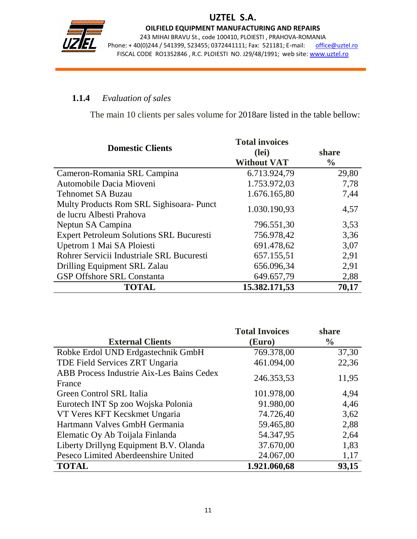

## UZTEL S.A.

OILFIELD EQUIPMENT MANUFACTURING AND REPAIRS 243 MIHAI BRAVU St., code 100410, PLOIESTI , PRAHOVA-ROMANIA Phone: +40(0)244 / 541399, 523455; 0372441111; Fax: 521181; E-mail: office@uztel.ro FISCAL CODE RO1352846 , R.C. PLOIESTI NO. J29/48/1991; web site: www.uztel.ro

### **1.1.4** *Evaluation of sales*

The main 10 clients per sales volume for 2018are listed in the table bellow:

| <b>Domestic Clients</b>                         | <b>Total invoices</b><br>(lei) | share<br>$\frac{6}{6}$ |
|-------------------------------------------------|--------------------------------|------------------------|
|                                                 | <b>Without VAT</b>             |                        |
| Cameron-Romania SRL Campina                     | 6.713.924,79                   | 29,80                  |
| Automobile Dacia Mioveni                        | 1.753.972,03                   | 7,78                   |
| <b>Tehnomet SA Buzau</b>                        | 1.676.165,80                   | 7,44                   |
| Multy Products Rom SRL Sighisoara- Punct        | 1.030.190,93                   | 4,57                   |
| de lucru Albesti Prahova                        |                                |                        |
| Neptun SA Campina                               | 796.551,30                     | 3,53                   |
| <b>Expert Petroleum Solutions SRL Bucuresti</b> | 756.978,42                     | 3,36                   |
| Upetrom 1 Mai SA Ploiesti                       | 691.478,62                     | 3,07                   |
| Rohrer Servicii Industriale SRL Bucuresti       | 657.155,51                     | 2,91                   |
| Drilling Equipment SRL Zalau                    | 656.096,34                     | 2,91                   |
| <b>GSP Offshore SRL Constanta</b>               | 649.657,79                     | 2,88                   |
| <b>TOTAL</b>                                    | 15.382.171,53                  | 70,17                  |

|                                                     | <b>Total Invoices</b> | share         |
|-----------------------------------------------------|-----------------------|---------------|
| <b>External Clients</b>                             | (Euro)                | $\frac{0}{0}$ |
| Robke Erdol UND Erdgastechnik GmbH                  | 769.378,00            | 37,30         |
| TDE Field Services ZRT Ungaria                      | 461.094,00            | 22,36         |
| ABB Process Industrie Aix-Les Bains Cedex<br>France | 246.353,53            | 11,95         |
| Green Control SRL Italia                            | 101.978,00            | 4,94          |
| Eurotech INT Sp zoo Wojska Polonia                  | 91.980,00             | 4,46          |
| VT Veres KFT Kecskmet Ungaria                       | 74.726,40             | 3,62          |
| Hartmann Valves GmbH Germania                       | 59.465,80             | 2,88          |
| Elematic Oy Ab Toijala Finlanda                     | 54.347,95             | 2,64          |
| Liberty Drillyng Equipment B.V. Olanda              | 37.670,00             | 1,83          |
| Peseco Limited Aberdeenshire United                 | 24.067,00             | 1,17          |
| <b>TOTAL</b>                                        | 1.921.060,68          | 93,15         |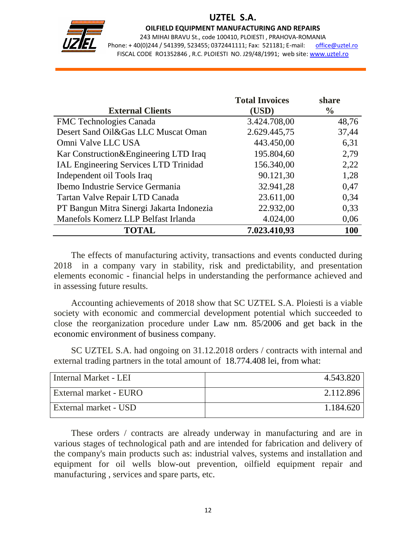

## UZTEL S.A.

OILFIELD EQUIPMENT MANUFACTURING AND REPAIRS

243 MIHAI BRAVU St., code 100410, PLOIESTI , PRAHOVA-ROMANIA Phone: +40(0)244 / 541399, 523455; 0372441111; Fax: 521181; E-mail: office@uztel.ro FISCAL CODE RO1352846 , R.C. PLOIESTI NO. J29/48/1991; web site: www.uztel.ro

|                                              | <b>Total Invoices</b> | share         |
|----------------------------------------------|-----------------------|---------------|
| <b>External Clients</b>                      | (USD)                 | $\frac{0}{0}$ |
| <b>FMC</b> Technologies Canada               | 3.424.708,00          | 48,76         |
| Desert Sand Oil&Gas LLC Muscat Oman          | 2.629.445,75          | 37,44         |
| Omni Valve LLC USA                           | 443.450,00            | 6,31          |
| Kar Construction&Engineering LTD Iraq        | 195.804,60            | 2,79          |
| <b>IAL Engineering Services LTD Trinidad</b> | 156.340,00            | 2,22          |
| Independent oil Tools Iraq                   | 90.121,30             | 1,28          |
| Ibemo Industrie Service Germania             | 32.941,28             | 0,47          |
| Tartan Valve Repair LTD Canada               | 23.611,00             | 0,34          |
| PT Bangun Mitra Sinergi Jakarta Indonezia    | 22.932,00             | 0,33          |
| Manefols Komerz LLP Belfast Irlanda          | 4.024,00              | 0,06          |
| <b>TOTAL</b>                                 | 7.023.410,93          | <b>100</b>    |

The effects of manufacturing activity, transactions and events conducted during 2018 in a company vary in stability, risk and predictability, and presentation elements economic - financial helps in understanding the performance achieved and in assessing future results.

Accounting achievements of 2018 show that SC UZTEL S.A. Ploiesti is a viable society with economic and commercial development potential which succeeded to close the reorganization procedure under Law nm. 85/2006 and get back in the economic environment of business company.

SC UZTEL S.A. had ongoing on 31.12.2018 orders / contracts with internal and external trading partners in the total amount of 18.774.408 lei, from what:

| Internal Market - LEI  | 4.543.820 |
|------------------------|-----------|
| External market - EURO | 2.112.896 |
| External market - USD  | 1.184.620 |

These orders / contracts are already underway in manufacturing and are in various stages of technological path and are intended for fabrication and delivery of the company's main products such as: industrial valves, systems and installation and equipment for oil wells blow-out prevention, oilfield equipment repair and manufacturing , services and spare parts, etc.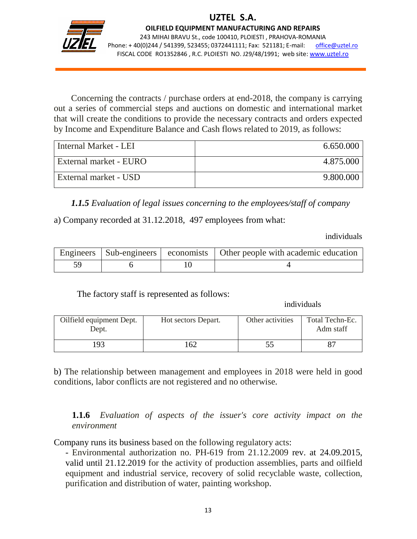

j

OILFIELD EQUIPMENT MANUFACTURING AND REPAIRS 243 MIHAI BRAVU St., code 100410, PLOIESTI , PRAHOVA-ROMANIA Phone: +40(0)244 / 541399, 523455; 0372441111; Fax: 521181; E-mail: office@uztel.ro FISCAL CODE RO1352846 , R.C. PLOIESTI NO. J29/48/1991; web site: www.uztel.ro

Concerning the contracts / purchase orders at end-2018, the company is carrying out a series of commercial steps and auctions on domestic and international market that will create the conditions to provide the necessary contracts and orders expected by Income and Expenditure Balance and Cash flows related to 2019, as follows:

| Internal Market - LEI  | 6.650.000 |
|------------------------|-----------|
| External market - EURO | 4.875.000 |
| External market - USD  | 9.800.000 |

*1.1.5 Evaluation of legal issues concerning to the employees/staff of company*

a) Company recorded at 31.12.2018, 497 employees from what:

individuals

|  | Engineers   Sub-engineers   economists   Other people with academic education |
|--|-------------------------------------------------------------------------------|
|  |                                                                               |

The factory staff is represented as follows:

individuals

| Oilfield equipment Dept.<br>Dept. | Hot sectors Depart. | Other activities | Total Techn-Ec.<br>Adm staff |
|-----------------------------------|---------------------|------------------|------------------------------|
| 193                               | ' 62                |                  |                              |

b) The relationship between management and employees in 2018 were held in good conditions, labor conflicts are not registered and no otherwise.

**1.1.6** *Evaluation of aspects of the issuer's core activity impact on the environment* 

Company runs its business based on the following regulatory acts:

- Environmental authorization no. PH-619 from 21.12.2009 rev. at 24.09.2015, valid until 21.12.2019 for the activity of production assemblies, parts and oilfield equipment and industrial service, recovery of solid recyclable waste, collection, purification and distribution of water, painting workshop.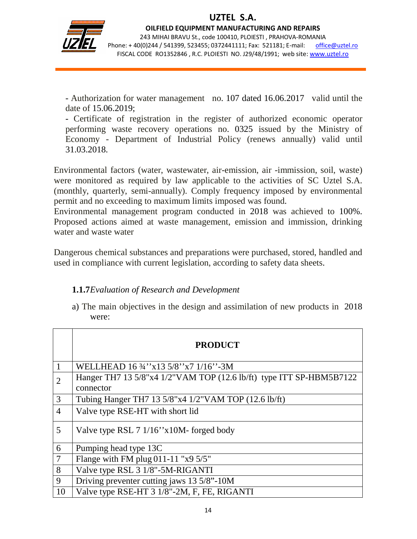

j

OILFIELD EQUIPMENT MANUFACTURING AND REPAIRS 243 MIHAI BRAVU St., code 100410, PLOIESTI , PRAHOVA-ROMANIA Phone: +40(0)244 / 541399, 523455; 0372441111; Fax: 521181; E-mail: office@uztel.ro FISCAL CODE RO1352846 , R.C. PLOIESTI NO. J29/48/1991; web site: www.uztel.ro

- Authorization for water management no. 107 dated 16.06.2017 valid until the date of 15.06.2019;

- Certificate of registration in the register of authorized economic operator performing waste recovery operations no. 0325 issued by the Ministry of Economy - Department of Industrial Policy (renews annually) valid until 31.03.2018.

Environmental factors (water, wastewater, air-emission, air -immission, soil, waste) were monitored as required by law applicable to the activities of SC Uztel S.A. (monthly, quarterly, semi-annually). Comply frequency imposed by environmental permit and no exceeding to maximum limits imposed was found.

Environmental management program conducted in 2018 was achieved to 100%. Proposed actions aimed at waste management, emission and immission, drinking water and waste water

Dangerous chemical substances and preparations were purchased, stored, handled and used in compliance with current legislation, according to safety data sheets.

## **1.1.7** *Evaluation of Research and Development*

a) The main objectives in the design and assimilation of new products in 2018 were:

|                | <b>PRODUCT</b>                                                                   |
|----------------|----------------------------------------------------------------------------------|
| 1              | WELLHEAD 16 34" x 13 5/8" x 7 1/16" - 3M                                         |
| $\overline{2}$ | Hanger TH7 13 5/8"x4 1/2"VAM TOP (12.6 lb/ft) type ITT SP-HBM5B7122<br>connector |
| 3              | Tubing Hanger TH7 13 5/8"x4 1/2"VAM TOP (12.6 lb/ft)                             |
| 4              | Valve type RSE-HT with short lid                                                 |
| 5              | Valve type RSL 7 1/16"x10M- forged body                                          |
| 6              | Pumping head type 13C                                                            |
| $\overline{7}$ | Flange with FM plug $011-11$ "x9 $5/5$ "                                         |
| 8              | Valve type RSL 3 1/8"-5M-RIGANTI                                                 |
| 9              | Driving preventer cutting jaws 13 5/8"-10M                                       |
| 10             | Valve type RSE-HT 3 1/8"-2M, F, FE, RIGANTI                                      |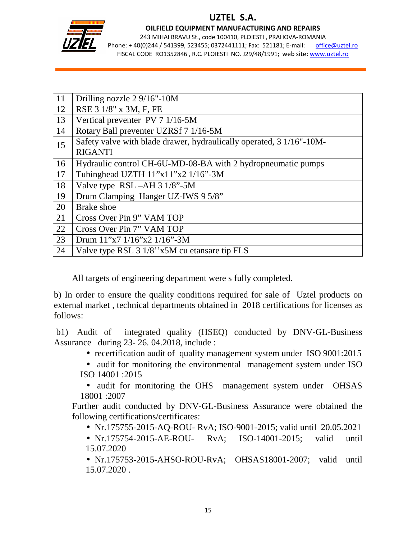

## UZTEL S.A.

OILFIELD EQUIPMENT MANUFACTURING AND REPAIRS

243 MIHAI BRAVU St., code 100410, PLOIESTI , PRAHOVA-ROMANIA Phone: +40(0)244 / 541399, 523455; 0372441111; Fax: 521181; E-mail: office@uztel.ro FISCAL CODE RO1352846 , R.C. PLOIESTI NO. J29/48/1991; web site: www.uztel.ro

| 11 | Drilling nozzle 2 9/16"-10M                                          |
|----|----------------------------------------------------------------------|
| 12 | RSE 3 1/8" x 3M, F, FE                                               |
| 13 | Vertical preventer PV 7 1/16-5M                                      |
| 14 | Rotary Ball preventer UZRSf 7 1/16-5M                                |
| 15 | Safety valve with blade drawer, hydraulically operated, 3 1/16"-10M- |
|    | <b>RIGANTI</b>                                                       |
| 16 | Hydraulic control CH-6U-MD-08-BA with 2 hydropneumatic pumps         |
| 17 | Tubinghead UZTH 11"x11"x2 1/16"-3M                                   |
| 18 | Valve type RSL-AH 3 1/8"-5M                                          |
| 19 | Drum Clamping Hanger UZ-IWS 9 5/8"                                   |
| 20 | <b>Brake</b> shoe                                                    |
| 21 | Cross Over Pin 9" VAM TOP                                            |
| 22 | Cross Over Pin 7" VAM TOP                                            |
| 23 | Drum $11$ "x7 $1/16$ "x2 $1/16$ "-3M                                 |
| 24 | Valve type RSL 3 1/8"x5M cu etansare tip FLS                         |

All targets of engineering department were s fully completed.

b) In order to ensure the quality conditions required for sale of Uztel products on external market , technical departments obtained in 2018 certifications for licenses as follows:

 b1) Audit of integrated quality (HSEQ) conducted by DNV-GL-Business Assurance during 23- 26. 04.2018, include :

- recertification audit of quality management system under ISO 9001:2015
- audit for monitoring the environmental management system under ISO ISO 14001 :2015

• audit for monitoring the OHS management system under OHSAS 18001 :2007

Further audit conducted by DNV-GL-Business Assurance were obtained the following certifications/certificates:

• Nr.175755-2015-AQ-ROU- RvA; ISO-9001-2015; valid until 20.05.2021

• Nr.175754-2015-AE-ROU- RvA; ISO-14001-2015; valid until 15.07.2020

• Nr.175753-2015-AHSO-ROU-RvA; OHSAS18001-2007; valid until 15.07.2020 .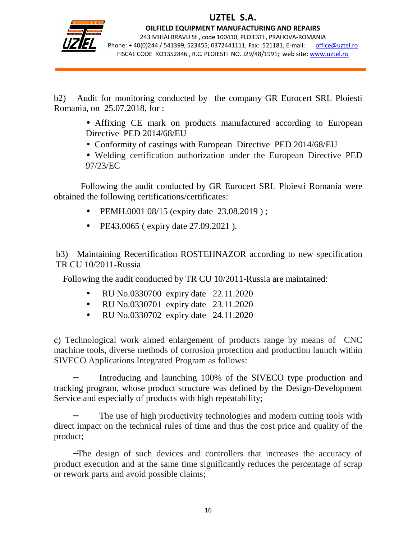

j

OILFIELD EQUIPMENT MANUFACTURING AND REPAIRS 243 MIHAI BRAVU St., code 100410, PLOIESTI , PRAHOVA-ROMANIA Phone: +40(0)244 / 541399, 523455; 0372441111; Fax: 521181; E-mail: office@uztel.ro FISCAL CODE RO1352846 , R.C. PLOIESTI NO. J29/48/1991; web site: www.uztel.ro

b2) Audit for monitoring conducted by the company GR Eurocert SRL Ploiesti Romania, on 25.07.2018, for :

> • Affixing CE mark on products manufactured according to European Directive PED 2014/68/EU

- Conformity of castings with European Directive PED 2014/68/EU
- Welding certification authorization under the European Directive PED 97/23/EC

 Following the audit conducted by GR Eurocert SRL Ploiesti Romania were obtained the following certifications/certificates:

- PEMH.0001 08/15 (expiry date 23.08.2019);
- PE43.0065 ( expiry date 27.09.2021 ).

b3) Maintaining Recertification ROSTEHNAZOR according to new specification TR CU 10/2011-Russia

Following the audit conducted by TR CU 10/2011-Russia are maintained:

- RU No.0330700 expiry date 22.11.2020
- RU No.0330701 expiry date 23.11.2020
- RU No.0330702 expiry date 24.11.2020

c) Technological work aimed enlargement of products range by means of CNC machine tools, diverse methods of corrosion protection and production launch within SIVECO Applications Integrated Program as follows:

Introducing and launching 100% of the SIVECO type production and tracking program, whose product structure was defined by the Design-Development Service and especially of products with high repeatability;

The use of high productivity technologies and modern cutting tools with direct impact on the technical rules of time and thus the cost price and quality of the product;

−The design of such devices and controllers that increases the accuracy of product execution and at the same time significantly reduces the percentage of scrap or rework parts and avoid possible claims;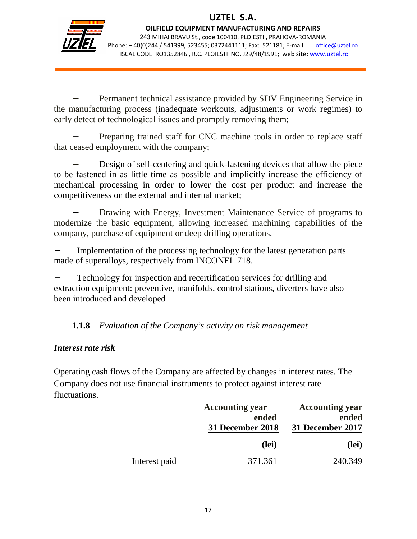

j

OILFIELD EQUIPMENT MANUFACTURING AND REPAIRS 243 MIHAI BRAVU St., code 100410, PLOIESTI , PRAHOVA-ROMANIA Phone: +40(0)244 / 541399, 523455; 0372441111; Fax: 521181; E-mail: office@uztel.ro FISCAL CODE RO1352846 , R.C. PLOIESTI NO. J29/48/1991; web site: www.uztel.ro

Permanent technical assistance provided by SDV Engineering Service in the manufacturing process (inadequate workouts, adjustments or work regimes) to early detect of technological issues and promptly removing them;

Preparing trained staff for CNC machine tools in order to replace staff that ceased employment with the company;

Design of self-centering and quick-fastening devices that allow the piece to be fastened in as little time as possible and implicitly increase the efficiency of mechanical processing in order to lower the cost per product and increase the competitiveness on the external and internal market;

Drawing with Energy, Investment Maintenance Service of programs to modernize the basic equipment, allowing increased machining capabilities of the company, purchase of equipment or deep drilling operations.

Implementation of the processing technology for the latest generation parts made of superalloys, respectively from INCONEL 718.

Technology for inspection and recertification services for drilling and extraction equipment: preventive, manifolds, control stations, diverters have also been introduced and developed

## **1.1.8** *Evaluation of the Company's activity on risk management*

## *Interest rate risk*

Operating cash flows of the Company are affected by changes in interest rates. The Company does not use financial instruments to protect against interest rate fluctuations.

|               | <b>Accounting year</b> | <b>Accounting year</b> |
|---------------|------------------------|------------------------|
|               | ended                  | ended                  |
|               | 31 December 2018       | 31 December 2017       |
|               | (lei)                  | (lei)                  |
| Interest paid | 371.361                | 240.349                |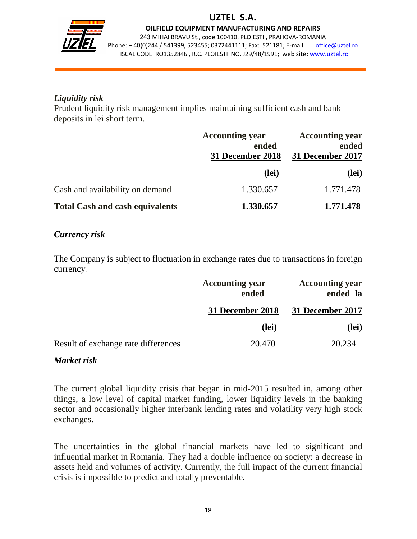

OILFIELD EQUIPMENT MANUFACTURING AND REPAIRS

243 MIHAI BRAVU St., code 100410, PLOIESTI , PRAHOVA-ROMANIA Phone: +40(0)244 / 541399, 523455; 0372441111; Fax: 521181; E-mail: office@uztel.ro FISCAL CODE RO1352846 , R.C. PLOIESTI NO. J29/48/1991; web site: www.uztel.ro

### *Liquidity risk*

j

Prudent liquidity risk management implies maintaining sufficient cash and bank deposits in lei short term.

|                                        | <b>Accounting year</b><br>ended<br>31 December 2018 | <b>Accounting year</b><br>ended<br>31 December 2017 |  |
|----------------------------------------|-----------------------------------------------------|-----------------------------------------------------|--|
|                                        | (lei)                                               | (lei)                                               |  |
| Cash and availability on demand        | 1.330.657                                           | 1.771.478                                           |  |
| <b>Total Cash and cash equivalents</b> | 1.330.657                                           | 1.771.478                                           |  |

### *Currency risk*

The Company is subject to fluctuation in exchange rates due to transactions in foreign currency.

|                                     | <b>Accounting year</b><br>ended | <b>Accounting year</b><br>ended la |
|-------------------------------------|---------------------------------|------------------------------------|
|                                     | 31 December 2018                | 31 December 2017                   |
|                                     | (lei)                           | (lei)                              |
| Result of exchange rate differences | 20.470                          | 20.234                             |

#### *Market risk*

The current global liquidity crisis that began in mid-2015 resulted in, among other things, a low level of capital market funding, lower liquidity levels in the banking sector and occasionally higher interbank lending rates and volatility very high stock exchanges.

The uncertainties in the global financial markets have led to significant and influential market in Romania. They had a double influence on society: a decrease in assets held and volumes of activity. Currently, the full impact of the current financial crisis is impossible to predict and totally preventable.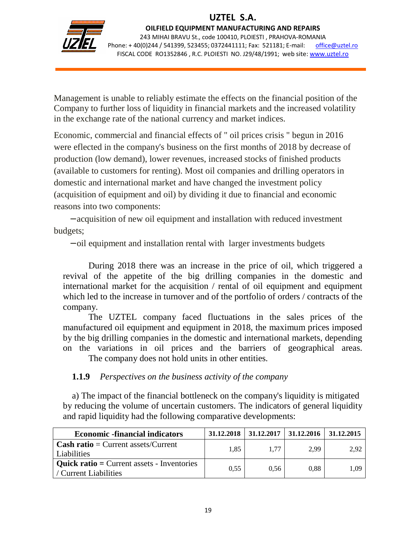

j

OILFIELD EQUIPMENT MANUFACTURING AND REPAIRS 243 MIHAI BRAVU St., code 100410, PLOIESTI , PRAHOVA-ROMANIA

Phone: +40(0)244 / 541399, 523455; 0372441111; Fax: 521181; E-mail: office@uztel.ro FISCAL CODE RO1352846 , R.C. PLOIESTI NO. J29/48/1991; web site: www.uztel.ro

Management is unable to reliably estimate the effects on the financial position of the Company to further loss of liquidity in financial markets and the increased volatility in the exchange rate of the national currency and market indices.

Economic, commercial and financial effects of " oil prices crisis " begun in 2016 were eflected in the company's business on the first months of 2018 by decrease of production (low demand), lower revenues, increased stocks of finished products (available to customers for renting). Most oil companies and drilling operators in domestic and international market and have changed the investment policy (acquisition of equipment and oil) by dividing it due to financial and economic reasons into two components:

 − acquisition of new oil equipment and installation with reduced investment budgets;

− oil equipment and installation rental with larger investments budgets

 During 2018 there was an increase in the price of oil, which triggered a revival of the appetite of the big drilling companies in the domestic and international market for the acquisition / rental of oil equipment and equipment which led to the increase in turnover and of the portfolio of orders / contracts of the company.

 The UZTEL company faced fluctuations in the sales prices of the manufactured oil equipment and equipment in 2018, the maximum prices imposed by the big drilling companies in the domestic and international markets, depending on the variations in oil prices and the barriers of geographical areas. The company does not hold units in other entities.

**1.1.9** *Perspectives on the business activity of the company*

a) The impact of the financial bottleneck on the company's liquidity is mitigated by reducing the volume of uncertain customers. The indicators of general liquidity and rapid liquidity had the following comparative developments:

| <b>Economic -financial indicators</b>                                    | 31.12.2018 | 31.12.2017 | 31.12.2016 | 31.12.2015 |
|--------------------------------------------------------------------------|------------|------------|------------|------------|
| <b>Cash ratio</b> = Current assets/Current<br>Liabilities                | 1.85       | 1.77       | 2.99       | 2.92       |
| <b>Quick ratio</b> = Current assets - Inventories<br>Current Liabilities | 0.55       | 0.56       | 0.88       | 1.09       |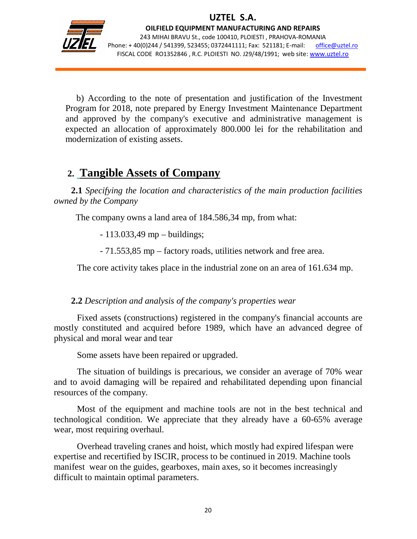

j

OILFIELD EQUIPMENT MANUFACTURING AND REPAIRS 243 MIHAI BRAVU St., code 100410, PLOIESTI , PRAHOVA-ROMANIA Phone: +40(0)244 / 541399, 523455; 0372441111; Fax: 521181; E-mail: office@uztel.ro FISCAL CODE RO1352846 , R.C. PLOIESTI NO. J29/48/1991; web site: www.uztel.ro

 b) According to the note of presentation and justification of the Investment Program for 2018, note prepared by Energy Investment Maintenance Department and approved by the company's executive and administrative management is expected an allocation of approximately 800.000 lei for the rehabilitation and modernization of existing assets.

## **2. Tangible Assets of Company**

**2.1** *Specifying the location and characteristics of the main production facilities owned by the Company*

The company owns a land area of 184.586,34 mp, from what:

- 113.033,49 mp – buildings;

- 71.553,85 mp – factory roads, utilities network and free area.

The core activity takes place in the industrial zone on an area of 161.634 mp.

**2.2** *Description and analysis of the company's properties wear*

Fixed assets (constructions) registered in the company's financial accounts are mostly constituted and acquired before 1989, which have an advanced degree of physical and moral wear and tear

Some assets have been repaired or upgraded.

The situation of buildings is precarious, we consider an average of 70% wear and to avoid damaging will be repaired and rehabilitated depending upon financial resources of the company.

Most of the equipment and machine tools are not in the best technical and technological condition. We appreciate that they already have a 60-65% average wear, most requiring overhaul.

Overhead traveling cranes and hoist, which mostly had expired lifespan were expertise and recertified by ISCIR, process to be continued in 2019. Machine tools manifest wear on the guides, gearboxes, main axes, so it becomes increasingly difficult to maintain optimal parameters.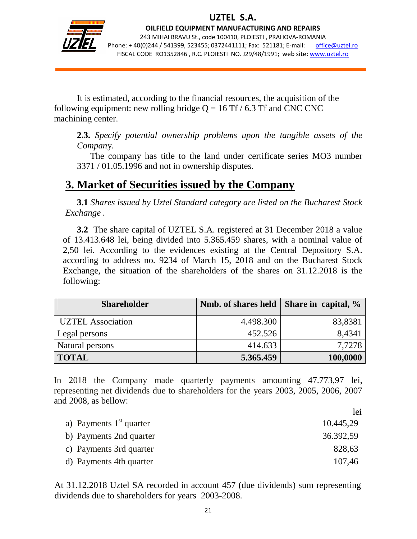

j

OILFIELD EQUIPMENT MANUFACTURING AND REPAIRS 243 MIHAI BRAVU St., code 100410, PLOIESTI , PRAHOVA-ROMANIA Phone: +40(0)244 / 541399, 523455; 0372441111; Fax: 521181; E-mail: office@uztel.ro FISCAL CODE RO1352846 , R.C. PLOIESTI NO. J29/48/1991; web site: www.uztel.ro

It is estimated, according to the financial resources, the acquisition of the following equipment: new rolling bridge  $Q = 16$  Tf  $/ 6.3$  Tf and CNC CNC machining center.

**2.3.** *Specify potential ownership problems upon the tangible assets of the Compan*y.

 The company has title to the land under certificate series MO3 number 3371 / 01.05.1996 and not in ownership disputes.

## **3. Market of Securities issued by the Company**

 **3.1** *Shares issued by Uztel Standard category are listed on the Bucharest Stock Exchange .*

 **3.2** The share capital of UZTEL S.A. registered at 31 December 2018 a value of 13.413.648 lei, being divided into 5.365.459 shares, with a nominal value of 2,50 lei. According to the evidences existing at the Central Depository S.A. according to address no. 9234 of March 15, 2018 and on the Bucharest Stock Exchange, the situation of the shareholders of the shares on 31.12.2018 is the following:

| <b>Shareholder</b>       | Nmb. of shares held | Share in capital, % |
|--------------------------|---------------------|---------------------|
| <b>UZTEL</b> Association | 4.498.300           | 83,8381             |
| Legal persons            | 452.526             | 8,4341              |
| Natural persons          | 414.633             | 7,7278              |
| <b>TOTAL</b>             | 5.365.459           | 100,0000            |

In 2018 the Company made quarterly payments amounting 47.773,97 lei, representing net dividends due to shareholders for the years 2003, 2005, 2006, 2007 and 2008, as bellow:

| lei       |
|-----------|
| 10.445,29 |
| 36.392,59 |
| 828,63    |
| 107,46    |
|           |

At 31.12.2018 Uztel SA recorded in account 457 (due dividends) sum representing dividends due to shareholders for years 2003-2008.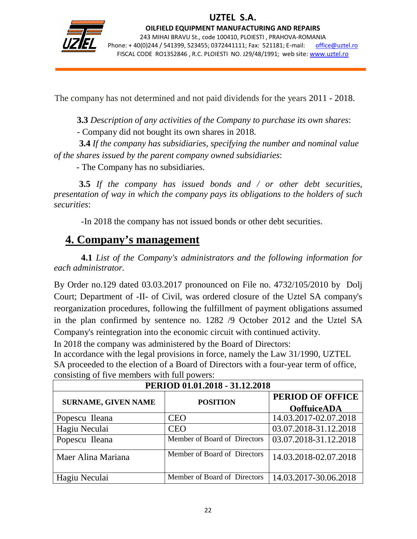

j

OILFIELD EQUIPMENT MANUFACTURING AND REPAIRS 243 MIHAI BRAVU St., code 100410, PLOIESTI , PRAHOVA-ROMANIA Phone: +40(0)244 / 541399, 523455; 0372441111; Fax: 521181; E-mail: office@uztel.ro FISCAL CODE RO1352846 , R.C. PLOIESTI NO. J29/48/1991; web site: www.uztel.ro

The company has not determined and not paid dividends for the years 2011 - 2018.

 **3.3** *Description of any activities of the Company to purchase its own shares*:

- Company did not bought its own shares in 2018.

 **3.4** *If the company has subsidiaries, specifying the number and nominal value of the shares issued by the parent company owned subsidiaries*:

- The Company has no subsidiaries.

 **3.5** *If the company has issued bonds and / or other debt securities, presentation of way in which the company pays its obligations to the holders of such securities*:

-In 2018 the company has not issued bonds or other debt securities.

## **4. Company's management**

**4.1** *List of the Company's administrators and the following information for each administrator.*

By Order no.129 dated 03.03.2017 pronounced on File no. 4732/105/2010 by Dolj Court; Department of -II- of Civil, was ordered closure of the Uztel SA company's reorganization procedures, following the fulfillment of payment obligations assumed in the plan confirmed by sentence no. 1282 /9 October 2012 and the Uztel SA Company's reintegration into the economic circuit with continued activity.

In 2018 the company was administered by the Board of Directors:

In accordance with the legal provisions in force, namely the Law 31/1990, UZTEL SA proceeded to the election of a Board of Directors with a four-year term of office, consisting of five members with full powers:

| PERIOD 01.01.2018 - 31.12.2018 |                              |                                        |  |  |  |
|--------------------------------|------------------------------|----------------------------------------|--|--|--|
| <b>SURNAME, GIVEN NAME</b>     | <b>POSITION</b>              | PERIOD OF OFFICE<br><b>OoffuiceADA</b> |  |  |  |
| Popescu Ileana                 | <b>CEO</b>                   | 14.03.2017-02.07.2018                  |  |  |  |
| Hagiu Neculai                  | <b>CEO</b>                   | 03.07.2018-31.12.2018                  |  |  |  |
| Popescu Ileana                 | Member of Board of Directors | 03.07.2018-31.12.2018                  |  |  |  |
| Maer Alina Mariana             | Member of Board of Directors | 14.03.2018-02.07.2018                  |  |  |  |
| Hagiu Neculai                  | Member of Board of Directors | 14.03.2017-30.06.2018                  |  |  |  |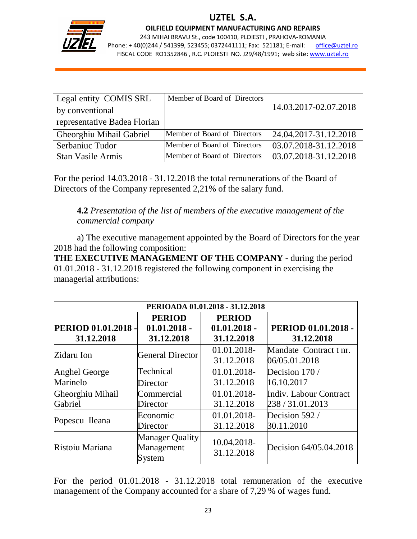

j

OILFIELD EQUIPMENT MANUFACTURING AND REPAIRS

243 MIHAI BRAVU St., code 100410, PLOIESTI , PRAHOVA-ROMANIA Phone: +40(0)244 / 541399, 523455; 0372441111; Fax: 521181; E-mail: office@uztel.ro FISCAL CODE RO1352846 , R.C. PLOIESTI NO. J29/48/1991; web site: www.uztel.ro

| Legal entity COMIS SRL       | Member of Board of Directors |                       |
|------------------------------|------------------------------|-----------------------|
| by conventional              |                              | 14.03.2017-02.07.2018 |
| representative Badea Florian |                              |                       |
| Gheorghiu Mihail Gabriel     | Member of Board of Directors | 24.04.2017-31.12.2018 |
| Serbaniuc Tudor              | Member of Board of Directors | 03.07.2018-31.12.2018 |
| <b>Stan Vasile Armis</b>     | Member of Board of Directors | 03.07.2018-31.12.2018 |

For the period 14.03.2018 - 31.12.2018 the total remunerations of the Board of Directors of the Company represented 2,21% of the salary fund.

## **4.2** *Presentation of the list of members of the executive management of the commercial company*

a) The executive management appointed by the Board of Directors for the year 2018 had the following composition:

**THE EXECUTIVE MANAGEMENT OF THE COMPANY** - during the period 01.01.2018 - 31.12.2018 registered the following component in exercising the managerial attributions:

| PERIOADA 01.01.2018 - 31.12.2018                                                                                 |                                                |                           |                                            |  |  |
|------------------------------------------------------------------------------------------------------------------|------------------------------------------------|---------------------------|--------------------------------------------|--|--|
| <b>PERIOD</b><br><b>PERIOD</b><br>PERIOD 01.01.2018 -<br>PERIOD 01.01.2018 -<br>$01.01.2018 -$<br>$01.01.2018 -$ |                                                |                           |                                            |  |  |
| 31.12.2018                                                                                                       | 31.12.2018                                     | 31.12.2018                | 31.12.2018                                 |  |  |
| Zidaru Ion                                                                                                       | <b>General Director</b>                        | 01.01.2018-<br>31.12.2018 | Mandate Contract t nr.<br>06/05.01.2018    |  |  |
| <b>Anghel George</b><br>Marinelo                                                                                 | Technical<br>Director                          | 01.01.2018-<br>31.12.2018 | Decision 170/<br>16.10.2017                |  |  |
| Gheorghiu Mihail<br>Gabriel                                                                                      | Commercial<br>Director                         | 01.01.2018-<br>31.12.2018 | Indiv. Labour Contract<br>238 / 31.01.2013 |  |  |
| Popescu Ileana                                                                                                   | Economic<br>Director                           | 01.01.2018-<br>31.12.2018 | Decision 592 /<br>30.11.2010               |  |  |
| Ristoiu Mariana                                                                                                  | <b>Manager Quality</b><br>Management<br>System | 10.04.2018-<br>31.12.2018 | Decision 64/05.04.2018                     |  |  |

For the period 01.01.2018 - 31.12.2018 total remuneration of the executive management of the Company accounted for a share of 7,29 % of wages fund.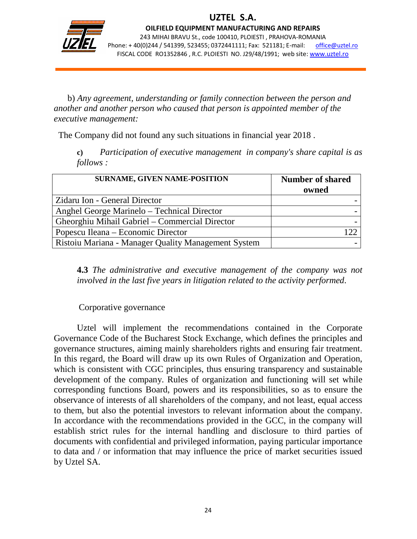

j

OILFIELD EQUIPMENT MANUFACTURING AND REPAIRS 243 MIHAI BRAVU St., code 100410, PLOIESTI , PRAHOVA-ROMANIA Phone: +40(0)244 / 541399, 523455; 0372441111; Fax: 521181; E-mail: office@uztel.ro FISCAL CODE RO1352846 , R.C. PLOIESTI NO. J29/48/1991; web site: www.uztel.ro

b) *Any agreement, understanding or family connection between the person and another and another person who caused that person is appointed member of the executive management:*

The Company did not found any such situations in financial year 2018 .

**c)** *Participation of executive management in company's share capital is as follows :*

| <b>SURNAME, GIVEN NAME-POSITION</b>                 | <b>Number of shared</b><br>owned |
|-----------------------------------------------------|----------------------------------|
| Zidaru Ion - General Director                       |                                  |
| Anghel George Marinelo – Technical Director         |                                  |
| Gheorghiu Mihail Gabriel – Commercial Director      |                                  |
| Popescu Ileana – Economic Director                  | l 22                             |
| Ristoiu Mariana - Manager Quality Management System |                                  |

**4.3** *The administrative and executive management of the company was not involved in the last five years in litigation related to the activity performed*.

#### Corporative governance

 Uztel will implement the recommendations contained in the Corporate Governance Code of the Bucharest Stock Exchange, which defines the principles and governance structures, aiming mainly shareholders rights and ensuring fair treatment. In this regard, the Board will draw up its own Rules of Organization and Operation, which is consistent with CGC principles, thus ensuring transparency and sustainable development of the company. Rules of organization and functioning will set while corresponding functions Board, powers and its responsibilities, so as to ensure the observance of interests of all shareholders of the company, and not least, equal access to them, but also the potential investors to relevant information about the company. In accordance with the recommendations provided in the GCC, in the company will establish strict rules for the internal handling and disclosure to third parties of documents with confidential and privileged information, paying particular importance to data and / or information that may influence the price of market securities issued by Uztel SA.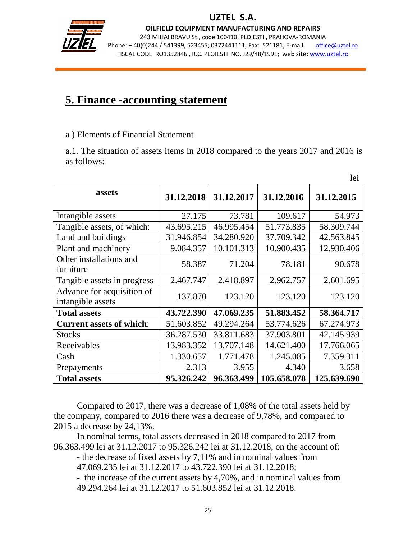

j

OILFIELD EQUIPMENT MANUFACTURING AND REPAIRS

243 MIHAI BRAVU St., code 100410, PLOIESTI , PRAHOVA-ROMANIA Phone: +40(0)244 / 541399, 523455; 0372441111; Fax: 521181; E-mail: office@uztel.ro FISCAL CODE RO1352846 , R.C. PLOIESTI NO. J29/48/1991; web site: www.uztel.ro

## **5. Finance -accounting statement**

a ) Elements of Financial Statement

a.1. The situation of assets items in 2018 compared to the years 2017 and 2016 is as follows:

|                                                 |            |            |             | lei         |
|-------------------------------------------------|------------|------------|-------------|-------------|
| assets                                          | 31.12.2018 | 31.12.2017 | 31.12.2016  | 31.12.2015  |
| Intangible assets                               | 27.175     | 73.781     | 109.617     | 54.973      |
| Tangible assets, of which:                      | 43.695.215 | 46.995.454 | 51.773.835  | 58.309.744  |
| Land and buildings                              | 31.946.854 | 34.280.920 | 37.709.342  | 42.563.845  |
| Plant and machinery                             | 9.084.357  | 10.101.313 | 10.900.435  | 12.930.406  |
| Other installations and<br>furniture            | 58.387     | 71.204     | 78.181      | 90.678      |
| Tangible assets in progress                     | 2.467.747  | 2.418.897  | 2.962.757   | 2.601.695   |
| Advance for acquisition of<br>intangible assets | 137.870    | 123.120    | 123.120     | 123.120     |
| <b>Total assets</b>                             | 43.722.390 | 47.069.235 | 51.883.452  | 58.364.717  |
| <b>Current assets of which:</b>                 | 51.603.852 | 49.294.264 | 53.774.626  | 67.274.973  |
| <b>Stocks</b>                                   | 36.287.530 | 33.811.683 | 37.903.801  | 42.145.939  |
| Receivables                                     | 13.983.352 | 13.707.148 | 14.621.400  | 17.766.065  |
| Cash                                            | 1.330.657  | 1.771.478  | 1.245.085   | 7.359.311   |
| Prepayments                                     | 2.313      | 3.955      | 4.340       | 3.658       |
| <b>Total assets</b>                             | 95.326.242 | 96.363.499 | 105.658.078 | 125.639.690 |

 Compared to 2017, there was a decrease of 1,08% of the total assets held by the company, compared to 2016 there was a decrease of 9,78%, and compared to 2015 a decrease by 24,13%.

 In nominal terms, total assets decreased in 2018 compared to 2017 from 96.363.499 lei at 31.12.2017 to 95.326.242 lei at 31.12.2018, on the account of:

 - the decrease of fixed assets by 7,11% and in nominal values from 47.069.235 lei at 31.12.2017 to 43.722.390 lei at 31.12.2018;

 - the increase of the current assets by 4,70%, and in nominal values from 49.294.264 lei at 31.12.2017 to 51.603.852 lei at 31.12.2018.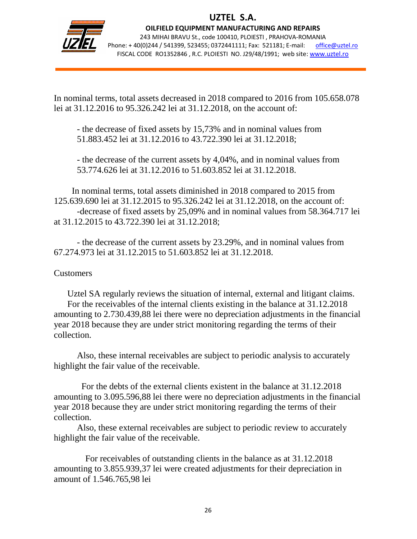

j

OILFIELD EQUIPMENT MANUFACTURING AND REPAIRS 243 MIHAI BRAVU St., code 100410, PLOIESTI , PRAHOVA-ROMANIA Phone: +40(0)244 / 541399, 523455; 0372441111; Fax: 521181; E-mail: office@uztel.ro FISCAL CODE RO1352846 , R.C. PLOIESTI NO. J29/48/1991; web site: www.uztel.ro

In nominal terms, total assets decreased in 2018 compared to 2016 from 105.658.078 lei at 31.12.2016 to 95.326.242 lei at 31.12.2018, on the account of:

 - the decrease of fixed assets by 15,73% and in nominal values from 51.883.452 lei at 31.12.2016 to 43.722.390 lei at 31.12.2018;

 - the decrease of the current assets by 4,04%, and in nominal values from 53.774.626 lei at 31.12.2016 to 51.603.852 lei at 31.12.2018.

 In nominal terms, total assets diminished in 2018 compared to 2015 from 125.639.690 lei at 31.12.2015 to 95.326.242 lei at 31.12.2018, on the account of: -decrease of fixed assets by 25,09% and in nominal values from 58.364.717 lei at 31.12.2015 to 43.722.390 lei at 31.12.2018;

 - the decrease of the current assets by 23.29%, and in nominal values from 67.274.973 lei at 31.12.2015 to 51.603.852 lei at 31.12.2018.

#### Customers

 Uztel SA regularly reviews the situation of internal, external and litigant claims. For the receivables of the internal clients existing in the balance at 31.12.2018 amounting to 2.730.439,88 lei there were no depreciation adjustments in the financial year 2018 because they are under strict monitoring regarding the terms of their collection.

 Also, these internal receivables are subject to periodic analysis to accurately highlight the fair value of the receivable.

 For the debts of the external clients existent in the balance at 31.12.2018 amounting to 3.095.596,88 lei there were no depreciation adjustments in the financial year 2018 because they are under strict monitoring regarding the terms of their collection.

 Also, these external receivables are subject to periodic review to accurately highlight the fair value of the receivable.

 For receivables of outstanding clients in the balance as at 31.12.2018 amounting to 3.855.939,37 lei were created adjustments for their depreciation in amount of 1.546.765,98 lei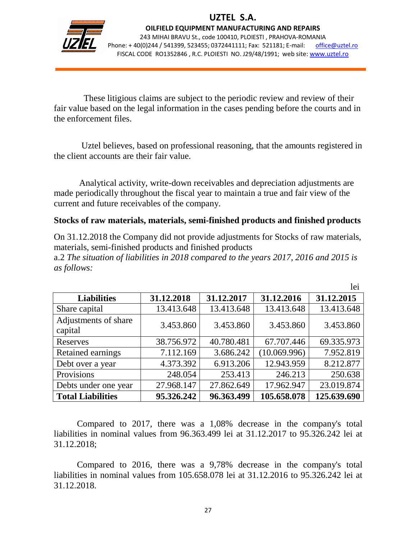

j

OILFIELD EQUIPMENT MANUFACTURING AND REPAIRS 243 MIHAI BRAVU St., code 100410, PLOIESTI , PRAHOVA-ROMANIA Phone: +40(0)244 / 541399, 523455; 0372441111; Fax: 521181; E-mail: office@uztel.ro FISCAL CODE RO1352846 , R.C. PLOIESTI NO. J29/48/1991; web site: www.uztel.ro

 These litigious claims are subject to the periodic review and review of their fair value based on the legal information in the cases pending before the courts and in the enforcement files.

 Uztel believes, based on professional reasoning, that the amounts registered in the client accounts are their fair value.

 Analytical activity, write-down receivables and depreciation adjustments are made periodically throughout the fiscal year to maintain a true and fair view of the current and future receivables of the company.

### **Stocks of raw materials, materials, semi-finished products and finished products**

On 31.12.2018 the Company did not provide adjustments for Stocks of raw materials, materials, semi-finished products and finished products a.2 *The situation of liabilities in 2018 compared to the years 2017, 2016 and 2015 is* 

 lei **Liabilities 31.12.2018 31.12.2017 31.12.2016 31.12.2015** Share capital 13.413.648 | 13.413.648 | 13.413.648 13.413.648 Adjustments of share Exquisiments of share  $\begin{vmatrix} 3.453.860 & 3.453.860 \end{vmatrix}$  3.453.860 3.453.860 Reserves 138.756.972 40.780.481 67.707.446 69.335.973 Retained earnings 7.112.169 3.686.242 (10.069.996) 7.952.819 Debt over a year  $\begin{array}{|c|c|c|c|c|c|c|c|c|} \hline 4.373.392 & 6.913.206 & 12.943.959 & 8.212.877 \hline \end{array}$ Provisions 248.054 253.413 246.213 250.638 Debts under one year 27.968.147 | 27.862.649 | 17.962.947 | 23.019.874

*as follows:* 

 Compared to 2017, there was a 1,08% decrease in the company's total liabilities in nominal values from 96.363.499 lei at 31.12.2017 to 95.326.242 lei at 31.12.2018;

**Total Liabilities 95.326.242 96.363.499 105.658.078 125.639.690**

 Compared to 2016, there was a 9,78% decrease in the company's total liabilities in nominal values from 105.658.078 lei at 31.12.2016 to 95.326.242 lei at 31.12.2018.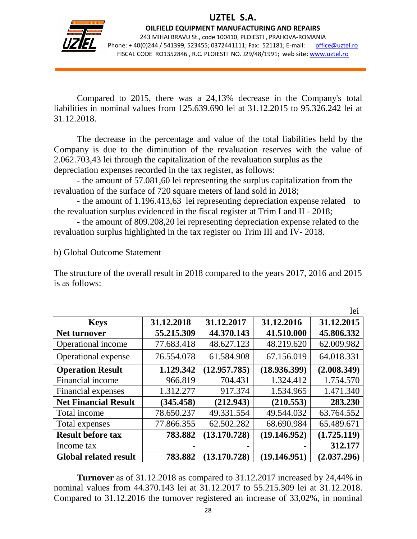

j

OILFIELD EQUIPMENT MANUFACTURING AND REPAIRS 243 MIHAI BRAVU St., code 100410, PLOIESTI , PRAHOVA-ROMANIA Phone: +40(0)244 / 541399, 523455; 0372441111; Fax: 521181; E-mail: office@uztel.ro FISCAL CODE RO1352846 , R.C. PLOIESTI NO. J29/48/1991; web site: www.uztel.ro

 Compared to 2015, there was a 24,13% decrease in the Company's total liabilities in nominal values from 125.639.690 lei at 31.12.2015 to 95.326.242 lei at 31.12.2018.

 The decrease in the percentage and value of the total liabilities held by the Company is due to the diminution of the revaluation reserves with the value of 2.062.703,43 lei through the capitalization of the revaluation surplus as the depreciation expenses recorded in the tax register, as follows:

 - the amount of 57.081,60 lei representing the surplus capitalization from the revaluation of the surface of 720 square meters of land sold in 2018;

 - the amount of 1.196.413,63 lei representing depreciation expense related to the revaluation surplus evidenced in the fiscal register at Trim I and II - 2018;

 - the amount of 809.208,20 lei representing depreciation expense related to the revaluation surplus highlighted in the tax register on Trim III and IV- 2018.

#### b) Global Outcome Statement

The structure of the overall result in 2018 compared to the years 2017, 2016 and 2015 is as follows:

|                              |            |              |              | lei         |
|------------------------------|------------|--------------|--------------|-------------|
| <b>Keys</b>                  | 31.12.2018 | 31.12.2017   | 31.12.2016   | 31.12.2015  |
| <b>Net turnover</b>          | 55.215.309 | 44.370.143   | 41.510.000   | 45.806.332  |
| Operational income           | 77.683.418 | 48.627.123   | 48.219.620   | 62.009.982  |
| Operational expense          | 76.554.078 | 61.584.908   | 67.156.019   | 64.018.331  |
| <b>Operation Result</b>      | 1.129.342  | (12.957.785) | (18.936.399) | (2.008.349) |
| Financial income             | 966.819    | 704.431      | 1.324.412    | 1.754.570   |
| Financial expenses           | 1.312.277  | 917.374      | 1.534.965    | 1.471.340   |
| <b>Net Financial Result</b>  | (345.458)  | (212.943)    | (210.553)    | 283.230     |
| Total income                 | 78.650.237 | 49.331.554   | 49.544.032   | 63.764.552  |
| Total expenses               | 77.866.355 | 62.502.282   | 68.690.984   | 65.489.671  |
| <b>Result before tax</b>     | 783.882    | (13.170.728) | (19.146.952) | (1.725.119) |
| Income tax                   |            |              |              | 312.177     |
| <b>Global related result</b> | 783.882    | (13.170.728) | (19.146.951) | (2.037.296) |

 **Turnover** as of 31.12.2018 as compared to 31.12.2017 increased by 24,44% in nominal values from 44.370.143 lei at 31.12.2017 to 55.215.309 lei at 31.12.2018. Compared to 31.12.2016 the turnover registered an increase of 33,02%, in nominal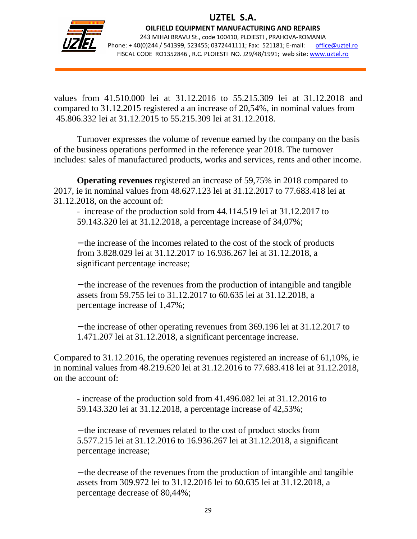

j

OILFIELD EQUIPMENT MANUFACTURING AND REPAIRS 243 MIHAI BRAVU St., code 100410, PLOIESTI , PRAHOVA-ROMANIA Phone: +40(0)244 / 541399, 523455; 0372441111; Fax: 521181; E-mail: office@uztel.ro FISCAL CODE RO1352846 , R.C. PLOIESTI NO. J29/48/1991; web site: www.uztel.ro

values from 41.510.000 lei at 31.12.2016 to 55.215.309 lei at 31.12.2018 and compared to 31.12.2015 registered a an increase of 20,54%, in nominal values from 45.806.332 lei at 31.12.2015 to 55.215.309 lei at 31.12.2018.

 Turnover expresses the volume of revenue earned by the company on the basis of the business operations performed in the reference year 2018. The turnover includes: sales of manufactured products, works and services, rents and other income.

**Operating revenues** registered an increase of 59,75% in 2018 compared to 2017, ie in nominal values from 48.627.123 lei at 31.12.2017 to 77.683.418 lei at 31.12.2018, on the account of:

 - increase of the production sold from 44.114.519 lei at 31.12.2017 to 59.143.320 lei at 31.12.2018, a percentage increase of 34,07%;

− the increase of the incomes related to the cost of the stock of products from 3.828.029 lei at 31.12.2017 to 16.936.267 lei at 31.12.2018, a significant percentage increase;

− the increase of the revenues from the production of intangible and tangible assets from 59.755 lei to 31.12.2017 to 60.635 lei at 31.12.2018, a percentage increase of 1,47%;

− the increase of other operating revenues from 369.196 lei at 31.12.2017 to 1.471.207 lei at 31.12.2018, a significant percentage increase.

Compared to 31.12.2016, the operating revenues registered an increase of 61,10%, ie in nominal values from 48.219.620 lei at 31.12.2016 to 77.683.418 lei at 31.12.2018, on the account of:

 - increase of the production sold from 41.496.082 lei at 31.12.2016 to 59.143.320 lei at 31.12.2018, a percentage increase of 42,53%;

− the increase of revenues related to the cost of product stocks from 5.577.215 lei at 31.12.2016 to 16.936.267 lei at 31.12.2018, a significant percentage increase;

− the decrease of the revenues from the production of intangible and tangible assets from 309.972 lei to 31.12.2016 lei to 60.635 lei at 31.12.2018, a percentage decrease of 80,44%;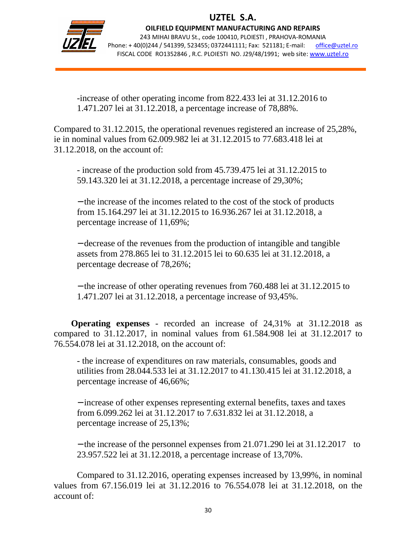

j

OILFIELD EQUIPMENT MANUFACTURING AND REPAIRS 243 MIHAI BRAVU St., code 100410, PLOIESTI , PRAHOVA-ROMANIA Phone: +40(0)244 / 541399, 523455; 0372441111; Fax: 521181; E-mail: office@uztel.ro FISCAL CODE RO1352846 , R.C. PLOIESTI NO. J29/48/1991; web site: www.uztel.ro

 -increase of other operating income from 822.433 lei at 31.12.2016 to 1.471.207 lei at 31.12.2018, a percentage increase of 78,88%.

Compared to 31.12.2015, the operational revenues registered an increase of 25,28%, ie in nominal values from 62.009.982 lei at 31.12.2015 to 77.683.418 lei at 31.12.2018, on the account of:

 - increase of the production sold from 45.739.475 lei at 31.12.2015 to 59.143.320 lei at 31.12.2018, a percentage increase of 29,30%;

− the increase of the incomes related to the cost of the stock of products from 15.164.297 lei at 31.12.2015 to 16.936.267 lei at 31.12.2018, a percentage increase of 11,69%;

− decrease of the revenues from the production of intangible and tangible assets from 278.865 lei to 31.12.2015 lei to 60.635 lei at 31.12.2018, a percentage decrease of 78,26%;

− the increase of other operating revenues from 760.488 lei at 31.12.2015 to 1.471.207 lei at 31.12.2018, a percentage increase of 93,45%.

**Operating expenses** - recorded an increase of 24,31% at 31.12.2018 as compared to 31.12.2017, in nominal values from 61.584.908 lei at 31.12.2017 to 76.554.078 lei at 31.12.2018, on the account of:

 - the increase of expenditures on raw materials, consumables, goods and utilities from 28.044.533 lei at 31.12.2017 to 41.130.415 lei at 31.12.2018, a percentage increase of 46,66%;

− increase of other expenses representing external benefits, taxes and taxes from 6.099.262 lei at 31.12.2017 to 7.631.832 lei at 31.12.2018, a percentage increase of 25,13%;

− the increase of the personnel expenses from 21.071.290 lei at 31.12.2017 to 23.957.522 lei at 31.12.2018, a percentage increase of 13,70%.

 Compared to 31.12.2016, operating expenses increased by 13,99%, in nominal values from 67.156.019 lei at 31.12.2016 to 76.554.078 lei at 31.12.2018, on the account of: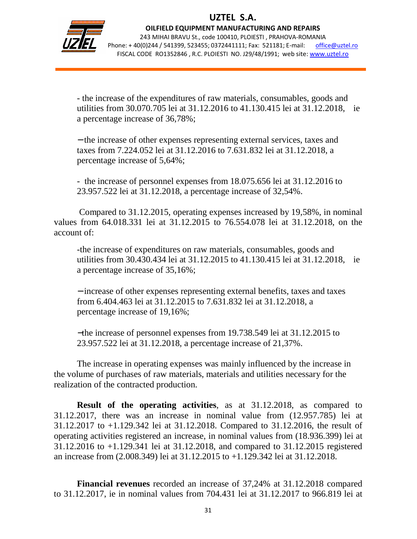

j

OILFIELD EQUIPMENT MANUFACTURING AND REPAIRS 243 MIHAI BRAVU St., code 100410, PLOIESTI , PRAHOVA-ROMANIA Phone: +40(0)244 / 541399, 523455; 0372441111; Fax: 521181; E-mail: office@uztel.ro FISCAL CODE RO1352846 , R.C. PLOIESTI NO. J29/48/1991; web site: www.uztel.ro

 - the increase of the expenditures of raw materials, consumables, goods and utilities from 30.070.705 lei at 31.12.2016 to 41.130.415 lei at 31.12.2018, ie a percentage increase of 36,78%;

− the increase of other expenses representing external services, taxes and taxes from 7.224.052 lei at 31.12.2016 to 7.631.832 lei at 31.12.2018, a percentage increase of 5,64%;

 - the increase of personnel expenses from 18.075.656 lei at 31.12.2016 to 23.957.522 lei at 31.12.2018, a percentage increase of 32,54%.

 Compared to 31.12.2015, operating expenses increased by 19,58%, in nominal values from 64.018.331 lei at 31.12.2015 to 76.554.078 lei at 31.12.2018, on the account of:

 -the increase of expenditures on raw materials, consumables, goods and utilities from 30.430.434 lei at 31.12.2015 to 41.130.415 lei at 31.12.2018, ie a percentage increase of 35,16%;

− increase of other expenses representing external benefits, taxes and taxes from 6.404.463 lei at 31.12.2015 to 7.631.832 lei at 31.12.2018, a percentage increase of 19,16%;

−the increase of personnel expenses from 19.738.549 lei at 31.12.2015 to 23.957.522 lei at 31.12.2018, a percentage increase of 21,37%.

 The increase in operating expenses was mainly influenced by the increase in the volume of purchases of raw materials, materials and utilities necessary for the realization of the contracted production.

 **Result of the operating activities**, as at 31.12.2018, as compared to 31.12.2017, there was an increase in nominal value from (12.957.785) lei at 31.12.2017 to +1.129.342 lei at 31.12.2018. Compared to 31.12.2016, the result of operating activities registered an increase, in nominal values from (18.936.399) lei at 31.12.2016 to +1.129.341 lei at 31.12.2018, and compared to 31.12.2015 registered an increase from (2.008.349) lei at 31.12.2015 to +1.129.342 lei at 31.12.2018.

**Financial revenues** recorded an increase of 37,24% at 31.12.2018 compared to 31.12.2017, ie in nominal values from 704.431 lei at 31.12.2017 to 966.819 lei at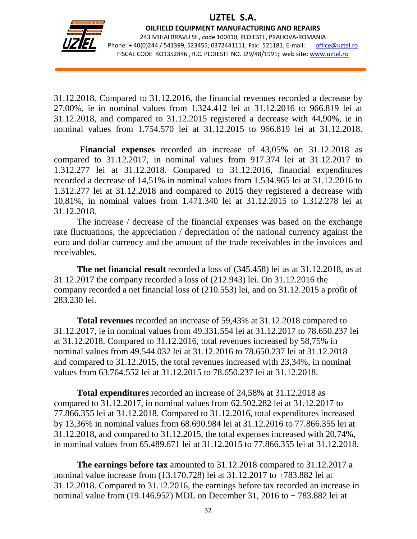

j

OILFIELD EQUIPMENT MANUFACTURING AND REPAIRS 243 MIHAI BRAVU St., code 100410, PLOIESTI , PRAHOVA-ROMANIA Phone: +40(0)244 / 541399, 523455; 0372441111; Fax: 521181; E-mail: office@uztel.ro FISCAL CODE RO1352846 , R.C. PLOIESTI NO. J29/48/1991; web site: www.uztel.ro

31.12.2018. Compared to 31.12.2016, the financial revenues recorded a decrease by 27,00%, ie in nominal values from 1.324.412 lei at 31.12.2016 to 966.819 lei at 31.12.2018, and compared to 31.12.2015 registered a decrease with 44,90%, ie in nominal values from 1.754.570 lei at 31.12.2015 to 966.819 lei at 31.12.2018.

 **Financial expenses** recorded an increase of 43,05% on 31.12.2018 as compared to 31.12.2017, in nominal values from 917.374 lei at 31.12.2017 to 1.312.277 lei at 31.12.2018. Compared to 31.12.2016, financial expenditures recorded a decrease of 14,51% in nominal values from 1.534.965 lei at 31.12.2016 to 1.312.277 lei at 31.12.2018 and compared to 2015 they registered a decrease with 10,81%, in nominal values from 1.471.340 lei at 31.12.2015 to 1.312.278 lei at 31.12.2018.

 The increase / decrease of the financial expenses was based on the exchange rate fluctuations, the appreciation / depreciation of the national currency against the euro and dollar currency and the amount of the trade receivables in the invoices and receivables.

**The net financial result** recorded a loss of (345.458) lei as at 31.12.2018, as at 31.12.2017 the company recorded a loss of (212.943) lei. On 31.12.2016 the company recorded a net financial loss of (210.553) lei, and on 31.12.2015 a profit of 283.230 lei.

**Total revenues** recorded an increase of 59,43% at 31.12.2018 compared to 31.12.2017, ie in nominal values from 49.331.554 lei at 31.12.2017 to 78.650.237 lei at 31.12.2018. Compared to 31.12.2016, total revenues increased by 58,75% in nominal values from 49.544.032 lei at 31.12.2016 to 78.650.237 lei at 31.12.2018 and compared to 31.12.2015, the total revenues increased with 23,34%, in nominal values from 63.764.552 lei at 31.12.2015 to 78.650.237 lei at 31.12.2018.

**Total expenditures** recorded an increase of 24,58% at 31.12.2018 as compared to 31.12.2017, in nominal values from 62.502.282 lei at 31.12.2017 to 77.866.355 lei at 31.12.2018. Compared to 31.12.2016, total expenditures increased by 13,36% in nominal values from 68.690.984 lei at 31.12.2016 to 77.866.355 lei at 31.12.2018, and compared to 31.12.2015, the total expenses increased with 20,74%, in nominal values from 65.489.671 lei at 31.12.2015 to 77.866.355 lei at 31.12.2018.

**The earnings before tax** amounted to 31.12.2018 compared to 31.12.2017 a nominal value increase from (13.170.728) lei at 31.12.2017 to +783.882 lei at 31.12.2018. Compared to 31.12.2016, the earnings before tax recorded an increase in nominal value from (19.146.952) MDL on December 31, 2016 to + 783.882 lei at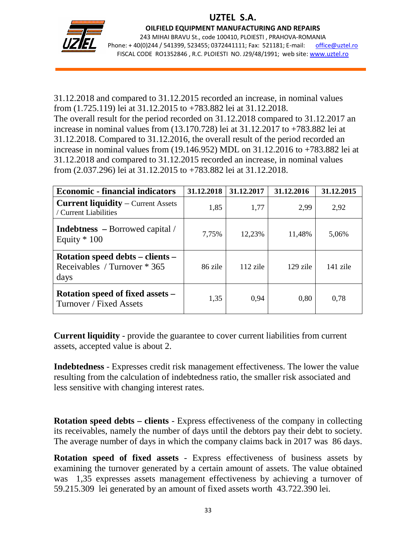

j

OILFIELD EQUIPMENT MANUFACTURING AND REPAIRS 243 MIHAI BRAVU St., code 100410, PLOIESTI , PRAHOVA-ROMANIA Phone: +40(0)244 / 541399, 523455; 0372441111; Fax: 521181; E-mail: office@uztel.ro FISCAL CODE RO1352846 , R.C. PLOIESTI NO. J29/48/1991; web site: www.uztel.ro

31.12.2018 and compared to 31.12.2015 recorded an increase, in nominal values from (1.725.119) lei at 31.12.2015 to +783.882 lei at 31.12.2018. The overall result for the period recorded on 31.12.2018 compared to 31.12.2017 an increase in nominal values from (13.170.728) lei at 31.12.2017 to +783.882 lei at 31.12.2018. Compared to 31.12.2016, the overall result of the period recorded an increase in nominal values from (19.146.952) MDL on 31.12.2016 to +783.882 lei at 31.12.2018 and compared to 31.12.2015 recorded an increase, in nominal values from (2.037.296) lei at 31.12.2015 to +783.882 lei at 31.12.2018.

| <b>Economic - financial indicators</b>                                   | 31.12.2018 | 31.12.2017 | 31.12.2016 | 31.12.2015 |
|--------------------------------------------------------------------------|------------|------------|------------|------------|
| <b>Current liquidity</b> – Current Assets<br>/ Current Liabilities       | 1,85       | 1,77       | 2,99       | 2,92       |
| <b>Indebtness</b> – Borrowed capital /<br>Equity $*100$                  | 7,75%      | 12,23%     | 11,48%     | 5,06%      |
| Rotation speed debts – clients –<br>Receivables / Turnover * 365<br>days | 86 zile    | $112$ zile | $129$ zile | $141$ zile |
| Rotation speed of fixed assets –<br>Turnover / Fixed Assets              | 1,35       | 0.94       | 0.80       | 0.78       |

**Current liquidity** - provide the guarantee to cover current liabilities from current assets, accepted value is about 2.

**Indebtedness** - Expresses credit risk management effectiveness. The lower the value resulting from the calculation of indebtedness ratio, the smaller risk associated and less sensitive with changing interest rates.

**Rotation speed debts – clients** - Express effectiveness of the company in collecting its receivables, namely the number of days until the debtors pay their debt to society. The average number of days in which the company claims back in 2017 was 86 days.

**Rotation speed of fixed assets** - Express effectiveness of business assets by examining the turnover generated by a certain amount of assets. The value obtained was 1,35 expresses assets management effectiveness by achieving a turnover of 59.215.309 lei generated by an amount of fixed assets worth 43.722.390 lei.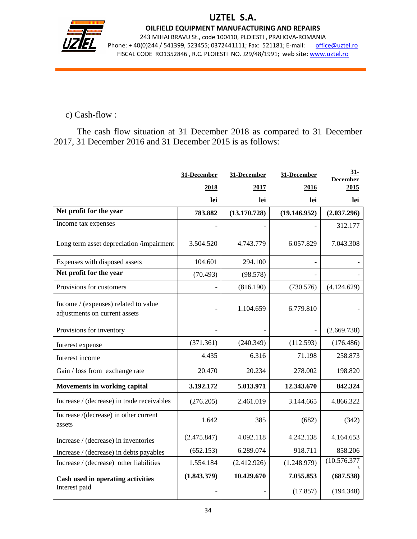

j

#### OILFIELD EQUIPMENT MANUFACTURING AND REPAIRS

243 MIHAI BRAVU St., code 100410, PLOIESTI , PRAHOVA-ROMANIA Phone: +40(0)244 / 541399, 523455; 0372441111; Fax: 521181; E-mail: office@uztel.ro FISCAL CODE RO1352846 , R.C. PLOIESTI NO. J29/48/1991; web site: www.uztel.ro

## c) Cash-flow :

The cash flow situation at 31 December 2018 as compared to 31 December 2017, 31 December 2016 and 31 December 2015 is as follows:

|                                                                       | 31-December | 31-December  | 31-December  | 31-<br><b>December</b> |
|-----------------------------------------------------------------------|-------------|--------------|--------------|------------------------|
|                                                                       | 2018        | 2017         | 2016         | 2015                   |
|                                                                       | lei         | lei          | lei          | lei                    |
| Net profit for the year                                               | 783.882     | (13.170.728) | (19.146.952) | (2.037.296)            |
| Income tax expenses                                                   |             |              |              | 312.177                |
| Long term asset depreciation /impairment                              | 3.504.520   | 4.743.779    | 6.057.829    | 7.043.308              |
| Expenses with disposed assets                                         | 104.601     | 294.100      |              |                        |
| Net profit for the year                                               | (70.493)    | (98.578)     |              |                        |
| Provisions for customers                                              |             | (816.190)    | (730.576)    | (4.124.629)            |
| Income / (expenses) related to value<br>adjustments on current assets |             | 1.104.659    | 6.779.810    |                        |
| Provisions for inventory                                              |             |              |              | (2.669.738)            |
| Interest expense                                                      | (371.361)   | (240.349)    | (112.593)    | (176.486)              |
| Interest income                                                       | 4.435       | 6.316        | 71.198       | 258.873                |
| Gain / loss from exchange rate                                        | 20.470      | 20.234       | 278.002      | 198.820                |
| Movements in working capital                                          | 3.192.172   | 5.013.971    | 12.343.670   | 842.324                |
| Increase / (decrease) in trade receivables                            | (276.205)   | 2.461.019    | 3.144.665    | 4.866.322              |
| Increase /(decrease) in other current<br>assets                       | 1.642       | 385          | (682)        | (342)                  |
| Increase / (decrease) in inventories                                  | (2.475.847) | 4.092.118    | 4.242.138    | 4.164.653              |
| Increase / (decrease) in debts payables                               | (652.153)   | 6.289.074    | 918.711      | 858.206                |
| Increase / (decrease) other liabilities                               | 1.554.184   | (2.412.926)  | (1.248.979)  | (10.576.377            |
| Cash used in operating activities                                     | (1.843.379) | 10.429.670   | 7.055.853    | (687.538)              |
| Interest paid                                                         |             |              | (17.857)     | (194.348)              |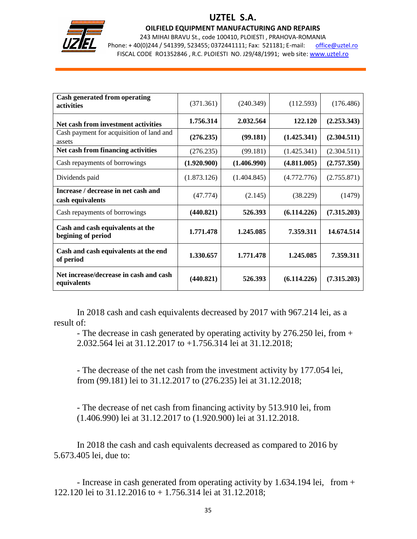

## UZTEL S.A.

#### OILFIELD EQUIPMENT MANUFACTURING AND REPAIRS

243 MIHAI BRAVU St., code 100410, PLOIESTI , PRAHOVA-ROMANIA Phone: +40(0)244 / 541399, 523455; 0372441111; Fax: 521181; E-mail: office@uztel.ro FISCAL CODE RO1352846 , R.C. PLOIESTI NO. J29/48/1991; web site: www.uztel.ro

| <b>Cash generated from operating</b><br>activities      | (371.361)   | (240.349)   | (112.593)   | (176.486)   |
|---------------------------------------------------------|-------------|-------------|-------------|-------------|
| Net cash from investment activities                     | 1.756.314   | 2.032.564   | 122.120     | (2.253.343) |
| Cash payment for acquisition of land and<br>assets      | (276.235)   | (99.181)    | (1.425.341) | (2.304.511) |
| Net cash from financing activities                      | (276.235)   | (99.181)    | (1.425.341) | (2.304.511) |
| Cash repayments of borrowings                           | (1.920.900) | (1.406.990) | (4.811.005) | (2.757.350) |
| Dividends paid                                          | (1.873.126) | (1.404.845) | (4.772.776) | (2.755.871) |
| Increase / decrease in net cash and<br>cash equivalents | (47.774)    | (2.145)     | (38.229)    | (1479)      |
| Cash repayments of borrowings                           | (440.821)   | 526.393     | (6.114.226) | (7.315.203) |
| Cash and cash equivalents at the<br>begining of period  | 1.771.478   | 1.245.085   | 7.359.311   | 14.674.514  |
| Cash and cash equivalents at the end<br>of period       | 1.330.657   | 1.771.478   | 1.245.085   | 7.359.311   |
| Net increase/decrease in cash and cash<br>equivalents   | (440.821)   | 526.393     | (6.114.226) | (7.315.203) |

In 2018 cash and cash equivalents decreased by 2017 with 967.214 lei, as a result of:

 - The decrease in cash generated by operating activity by 276.250 lei, from + 2.032.564 lei at 31.12.2017 to +1.756.314 lei at 31.12.2018;

 - The decrease of the net cash from the investment activity by 177.054 lei, from (99.181) lei to 31.12.2017 to (276.235) lei at 31.12.2018;

 - The decrease of net cash from financing activity by 513.910 lei, from (1.406.990) lei at 31.12.2017 to (1.920.900) lei at 31.12.2018.

 In 2018 the cash and cash equivalents decreased as compared to 2016 by 5.673.405 lei, due to:

 - Increase in cash generated from operating activity by 1.634.194 lei, from + 122.120 lei to 31.12.2016 to + 1.756.314 lei at 31.12.2018;